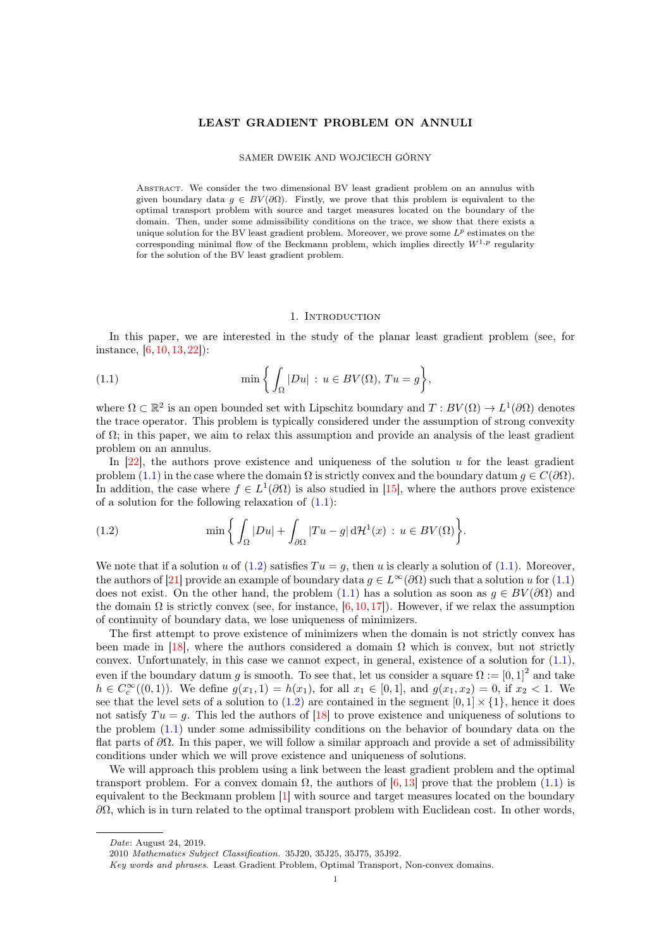### LEAST GRADIENT PROBLEM ON ANNULI

#### SAMER DWEIK AND WOJCIECH GÓRNY

ABSTRACT. We consider the two dimensional BV least gradient problem on an annulus with given boundary data  $q \in BV(\partial\Omega)$ . Firstly, we prove that this problem is equivalent to the optimal transport problem with source and target measures located on the boundary of the domain. Then, under some admissibility conditions on the trace, we show that there exists a unique solution for the BV least gradient problem. Moreover, we prove some  $L^p$  estimates on the corresponding minimal flow of the Beckmann problem, which implies directly  $W^{1,p}$  regularity for the solution of the BV least gradient problem.

### <span id="page-0-0"></span>1. INTRODUCTION

In this paper, we are interested in the study of the planar least gradient problem (see, for instance, [\[6,](#page-17-0) [10,](#page-17-1) [13,](#page-17-2) [22\]](#page-18-0)):

(1.1) 
$$
\min\left\{\int_{\Omega}|Du| : u \in BV(\Omega), Tu = g\right\},\
$$

where  $\Omega \subset \mathbb{R}^2$  is an open bounded set with Lipschitz boundary and  $T: BV(\Omega) \to L^1(\partial\Omega)$  denotes the trace operator. This problem is typically considered under the assumption of strong convexity of  $\Omega$ ; in this paper, we aim to relax this assumption and provide an analysis of the least gradient problem on an annulus.

In  $[22]$ , the authors prove existence and uniqueness of the solution u for the least gradient problem [\(1.1\)](#page-0-0) in the case where the domain  $\Omega$  is strictly convex and the boundary datum  $q \in C(\partial\Omega)$ . In addition, the case where  $f \in L^1(\partial\Omega)$  is also studied in [\[15\]](#page-17-3), where the authors prove existence of a solution for the following relaxation of  $(1.1)$ :

<span id="page-0-1"></span>(1.2) 
$$
\min \left\{ \int_{\Omega} |Du| + \int_{\partial \Omega} |Tu - g| d\mathcal{H}^{1}(x) : u \in BV(\Omega) \right\}.
$$

We note that if a solution u of  $(1.2)$  satisfies  $Tu = q$ , then u is clearly a solution of  $(1.1)$ . Moreover, the authors of [\[21\]](#page-18-1) provide an example of boundary data  $g \in L^{\infty}(\partial \Omega)$  such that a solution u for [\(1.1\)](#page-0-0) does not exist. On the other hand, the problem [\(1.1\)](#page-0-0) has a solution as soon as  $g \in BV(\partial\Omega)$  and the domain  $\Omega$  is strictly convex (see, for instance, [\[6,](#page-17-0) [10,](#page-17-1) [17\]](#page-18-2)). However, if we relax the assumption of continuity of boundary data, we lose uniqueness of minimizers.

The first attempt to prove existence of minimizers when the domain is not strictly convex has been made in [\[18\]](#page-18-3), where the authors considered a domain  $\Omega$  which is convex, but not strictly convex. Unfortunately, in this case we cannot expect, in general, existence of a solution for [\(1.1\)](#page-0-0), even if the boundary datum g is smooth. To see that, let us consider a square  $\Omega := [0,1]^2$  and take  $h \in C_c^{\infty}((0,1))$ . We define  $g(x_1,1) = h(x_1)$ , for all  $x_1 \in [0,1]$ , and  $g(x_1,x_2) = 0$ , if  $x_2 < 1$ . We see that the level sets of a solution to [\(1.2\)](#page-0-1) are contained in the segment  $[0, 1] \times \{1\}$ , hence it does not satisfy  $Tu = g$ . This led the authors of [\[18\]](#page-18-3) to prove existence and uniqueness of solutions to the problem [\(1.1\)](#page-0-0) under some admissibility conditions on the behavior of boundary data on the flat parts of  $\partial\Omega$ . In this paper, we will follow a similar approach and provide a set of admissibility conditions under which we will prove existence and uniqueness of solutions.

We will approach this problem using a link between the least gradient problem and the optimal transport problem. For a convex domain  $\Omega$ , the authors of [\[6,](#page-17-0) [13\]](#page-17-2) prove that the problem [\(1.1\)](#page-0-0) is equivalent to the Beckmann problem [\[1\]](#page-17-4) with source and target measures located on the boundary  $\partial\Omega$ , which is in turn related to the optimal transport problem with Euclidean cost. In other words,

Date: August 24, 2019.

<sup>2010</sup> Mathematics Subject Classification. 35J20, 35J25, 35J75, 35J92.

Key words and phrases. Least Gradient Problem, Optimal Transport, Non-convex domains.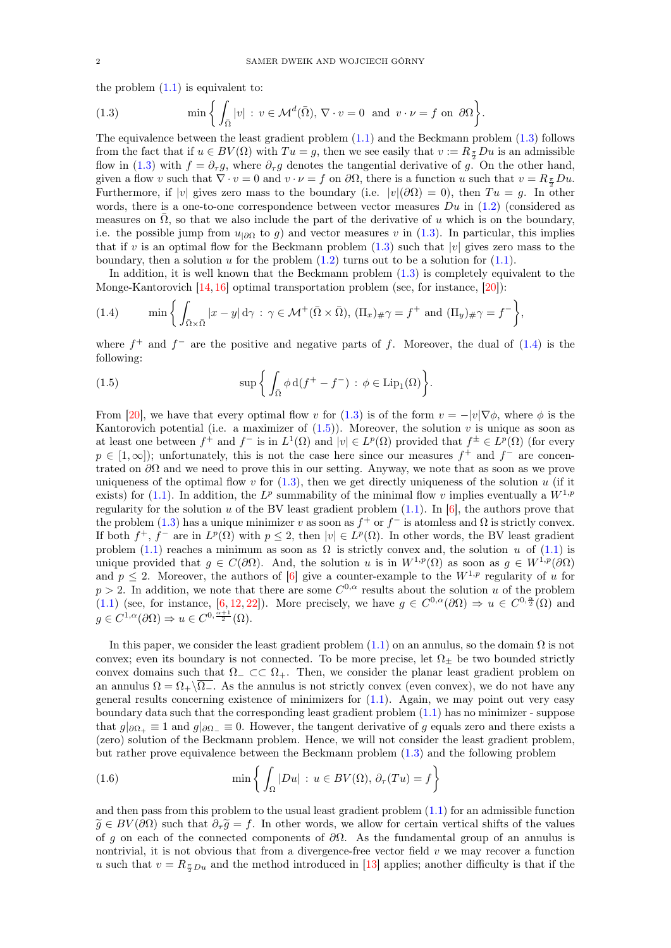the problem  $(1.1)$  is equivalent to:

<span id="page-1-0"></span>(1.3) 
$$
\min \left\{ \int_{\bar{\Omega}} |v| : v \in \mathcal{M}^d(\bar{\Omega}), \nabla \cdot v = 0 \text{ and } v \cdot \nu = f \text{ on } \partial \Omega \right\}.
$$

The equivalence between the least gradient problem [\(1.1\)](#page-0-0) and the Beckmann problem [\(1.3\)](#page-1-0) follows from the fact that if  $u \in BV(\Omega)$  with  $Tu = g$ , then we see easily that  $v := R_{\frac{\pi}{2}}Du$  is an admissible flow in [\(1.3\)](#page-1-0) with  $f = \partial_{\tau} g$ , where  $\partial_{\tau} g$  denotes the tangential derivative of  $g$ . On the other hand, given a flow v such that  $\nabla \cdot v = 0$  and  $v \cdot \nu = f$  on  $\partial \Omega$ , there is a function u such that  $v = R_{\frac{\pi}{2}} D u$ . Furthermore, if |v| gives zero mass to the boundary (i.e.  $|v|(\partial\Omega) = 0$ ), then  $Tu = g$ . In other words, there is a one-to-one correspondence between vector measures  $Du$  in  $(1.2)$  (considered as measures on  $\overline{\Omega}$ , so that we also include the part of the derivative of u which is on the boundary, i.e. the possible jump from  $u_{|\partial\Omega}$  to g) and vector measures v in [\(1.3\)](#page-1-0). In particular, this implies that if v is an optimal flow for the Beckmann problem  $(1.3)$  such that |v| gives zero mass to the boundary, then a solution  $u$  for the problem  $(1.2)$  turns out to be a solution for  $(1.1)$ .

In addition, it is well known that the Beckmann problem [\(1.3\)](#page-1-0) is completely equivalent to the Monge-Kantorovich  $[14, 16]$  $[14, 16]$  $[14, 16]$  optimal transportation problem (see, for instance,  $[20]$ ):

<span id="page-1-1"></span>(1.4) 
$$
\min\left\{\int_{\bar{\Omega}\times\bar{\Omega}}|x-y|\,d\gamma:\gamma\in\mathcal{M}^+(\bar{\Omega}\times\bar{\Omega}), (\Pi_x)_{\#}\gamma=f^+\text{ and } (\Pi_y)_{\#}\gamma=f^-\right\},\right\}
$$

where  $f^+$  and  $f^-$  are the positive and negative parts of f. Moreover, the dual of [\(1.4\)](#page-1-1) is the following:

<span id="page-1-2"></span>(1.5) 
$$
\sup \left\{ \int_{\bar{\Omega}} \phi \, d(f^+ - f^-) \, : \, \phi \in \text{Lip}_1(\Omega) \right\}.
$$

From [\[20\]](#page-18-5), we have that every optimal flow v for [\(1.3\)](#page-1-0) is of the form  $v = -|v|\nabla \phi$ , where  $\phi$  is the Kantorovich potential (i.e. a maximizer of  $(1.5)$ ). Moreover, the solution v is unique as soon as at least one between  $f^+$  and  $f^-$  is in  $L^1(\Omega)$  and  $|v| \in L^p(\Omega)$  provided that  $f^{\pm} \in L^p(\Omega)$  (for every  $p \in [1,\infty]$ ; unfortunately, this is not the case here since our measures  $f^+$  and  $f^-$  are concentrated on  $\partial\Omega$  and we need to prove this in our setting. Anyway, we note that as soon as we prove uniqueness of the optimal flow v for  $(1.3)$ , then we get directly uniqueness of the solution u (if it exists) for [\(1.1\)](#page-0-0). In addition, the  $L^p$  summability of the minimal flow v implies eventually a  $W^{1,p}$ regularity for the solution u of the BV least gradient problem  $(1.1)$ . In  $[6]$ , the authors prove that the problem [\(1.3\)](#page-1-0) has a unique minimizer v as soon as  $f^+$  or  $f^-$  is atomless and  $\Omega$  is strictly convex. If both  $f^+, f^-$  are in  $L^p(\Omega)$  with  $p \leq 2$ , then  $|v| \in L^p(\Omega)$ . In other words, the BV least gradient problem [\(1.1\)](#page-0-0) reaches a minimum as soon as  $\Omega$  is strictly convex and, the solution u of (1.1) is unique provided that  $g \in C(\partial\Omega)$ . And, the solution u is in  $W^{1,p}(\Omega)$  as soon as  $g \in W^{1,p}(\partial\Omega)$ and  $p \leq 2$ . Moreover, the authors of [\[6\]](#page-17-0) give a counter-example to the  $W^{1,p}$  regularity of u for  $p > 2$ . In addition, we note that there are some  $C^{0,\alpha}$  results about the solution u of the problem [\(1.1\)](#page-0-0) (see, for instance, [\[6,](#page-17-0) [12,](#page-17-6) [22\]](#page-18-0)). More precisely, we have  $g \in C^{0,\alpha}(\partial\Omega) \Rightarrow u \in C^{0,\frac{\alpha}{2}}(\Omega)$  and  $g \in C^{1,\alpha}(\partial \Omega) \Rightarrow u \in C^{0,\frac{\alpha+1}{2}}(\Omega).$ 

In this paper, we consider the least gradient problem  $(1.1)$  on an annulus, so the domain  $\Omega$  is not convex; even its boundary is not connected. To be more precise, let  $\Omega_{+}$  be two bounded strictly convex domains such that  $\Omega$ <sub>−</sub> ⊂ $\subset$   $\Omega$ <sub>+</sub>. Then, we consider the planar least gradient problem on an annulus  $\Omega = \Omega_+\backslash\overline{\Omega_-}$ . As the annulus is not strictly convex (even convex), we do not have any general results concerning existence of minimizers for  $(1.1)$ . Again, we may point out very easy boundary data such that the corresponding least gradient problem [\(1.1\)](#page-0-0) has no minimizer - suppose that  $g|_{\partial\Omega_+} \equiv 1$  and  $g|_{\partial\Omega_-} \equiv 0$ . However, the tangent derivative of g equals zero and there exists a (zero) solution of the Beckmann problem. Hence, we will not consider the least gradient problem, but rather prove equivalence between the Beckmann problem [\(1.3\)](#page-1-0) and the following problem

<span id="page-1-3"></span>(1.6) 
$$
\min \left\{ \int_{\Omega} |Du| : u \in BV(\Omega), \partial_{\tau}(Tu) = f \right\}
$$

and then pass from this problem to the usual least gradient problem [\(1.1\)](#page-0-0) for an admissible function  $\tilde{q} \in BV(\partial\Omega)$  such that  $\partial_{\tau}\tilde{q} = f$ . In other words, we allow for certain vertical shifts of the values of g on each of the connected components of  $\partial\Omega$ . As the fundamental group of an annulus is nontrivial, it is not obvious that from a divergence-free vector field  $v$  we may recover a function u such that  $v = R_{\frac{\pi}{2}Du}$  and the method introduced in [\[13\]](#page-17-2) applies; another difficulty is that if the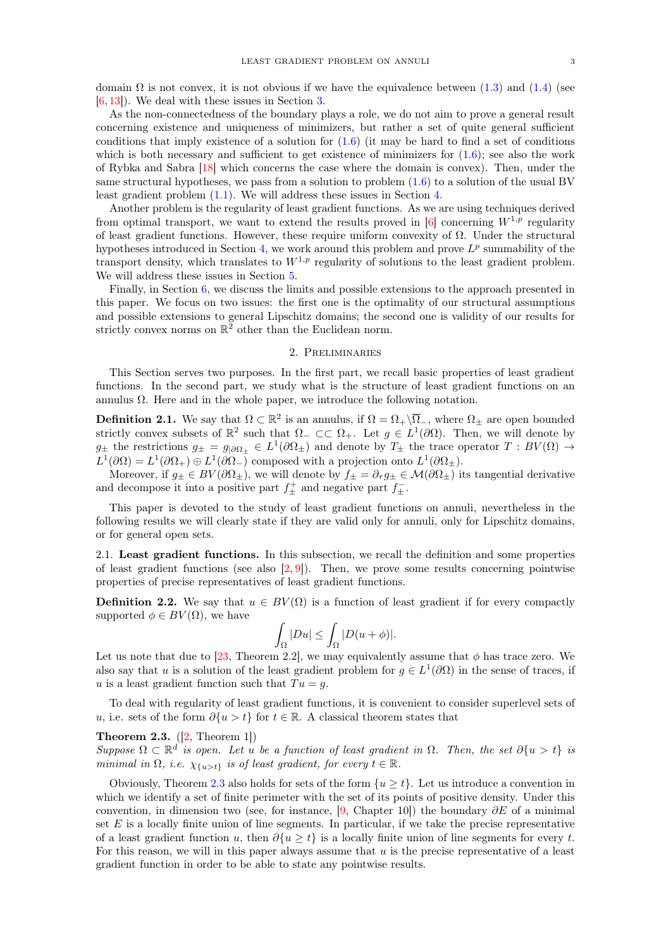domain  $\Omega$  is not convex, it is not obvious if we have the equivalence between [\(1.3\)](#page-1-0) and [\(1.4\)](#page-1-1) (see [\[6,](#page-17-0) [13\]](#page-17-2)). We deal with these issues in Section [3.](#page-5-0)

As the non-connectedness of the boundary plays a role, we do not aim to prove a general result concerning existence and uniqueness of minimizers, but rather a set of quite general sufficient conditions that imply existence of a solution for  $(1.6)$  (it may be hard to find a set of conditions which is both necessary and sufficient to get existence of minimizers for  $(1.6)$ ; see also the work of Rybka and Sabra [\[18\]](#page-18-3) which concerns the case where the domain is convex). Then, under the same structural hypotheses, we pass from a solution to problem [\(1.6\)](#page-1-3) to a solution of the usual BV least gradient problem [\(1.1\)](#page-0-0). We will address these issues in Section [4.](#page-9-0)

Another problem is the regularity of least gradient functions. As we are using techniques derived from optimal transport, we want to extend the results proved in [\[6\]](#page-17-0) concerning  $W^{1,p}$  regularity of least gradient functions. However, these require uniform convexity of Ω. Under the structural hypotheses introduced in Section [4,](#page-9-0) we work around this problem and prove  $L^p$  summability of the transport density, which translates to  $W^{1,p}$  regularity of solutions to the least gradient problem. We will address these issues in Section [5.](#page-13-0)

Finally, in Section [6,](#page-16-0) we discuss the limits and possible extensions to the approach presented in this paper. We focus on two issues: the first one is the optimality of our structural assumptions and possible extensions to general Lipschitz domains; the second one is validity of our results for strictly convex norms on  $\mathbb{R}^2$  other than the Euclidean norm.

### 2. Preliminaries

This Section serves two purposes. In the first part, we recall basic properties of least gradient functions. In the second part, we study what is the structure of least gradient functions on an annulus  $\Omega$ . Here and in the whole paper, we introduce the following notation.

<span id="page-2-1"></span>**Definition 2.1.** We say that  $\Omega \subset \mathbb{R}^2$  is an annulus, if  $\Omega = \Omega_+ \backslash \overline{\Omega}_-$ , where  $\Omega_{\pm}$  are open bounded strictly convex subsets of  $\mathbb{R}^2$  such that  $\Omega$   $\subset \subset \Omega_+$ . Let  $g \in L^1(\partial\Omega)$ . Then, we will denote by  $g_{\pm}$  the restrictions  $g_{\pm} = g_{\parallel} \partial \Omega_{\pm} \in L^1(\partial \Omega_{\pm})$  and denote by  $T_{\pm}$  the trace operator  $T : BV(\Omega) \to$  $L^1(\partial\Omega) = L^1(\partial\Omega_+) \oplus L^1(\partial\Omega_-)$  composed with a projection onto  $L^1(\partial\Omega_\pm)$ .

Moreover, if  $g_{\pm} \in BV(\partial \Omega_{\pm})$ , we will denote by  $f_{\pm} = \partial_{\tau} g_{\pm} \in \mathcal{M}(\partial \Omega_{\pm})$  its tangential derivative and decompose it into a positive part  $f_{\pm}^+$  and negative part  $f_{\pm}^-$ .

This paper is devoted to the study of least gradient functions on annuli, nevertheless in the following results we will clearly state if they are valid only for annuli, only for Lipschitz domains, or for general open sets.

2.1. Least gradient functions. In this subsection, we recall the definition and some properties of least gradient functions (see also  $[2, 9]$  $[2, 9]$  $[2, 9]$ ). Then, we prove some results concerning pointwise properties of precise representatives of least gradient functions.

**Definition 2.2.** We say that  $u \in BV(\Omega)$  is a function of least gradient if for every compactly supported  $\phi \in BV(\Omega)$ , we have

$$
\int_{\Omega} |Du| \leq \int_{\Omega} |D(u+\phi)|.
$$

Let us note that due to [\[23,](#page-18-6) Theorem 2.2], we may equivalently assume that  $\phi$  has trace zero. We also say that u is a solution of the least gradient problem for  $g \in L^1(\partial\Omega)$  in the sense of traces, if u is a least gradient function such that  $Tu = g$ .

To deal with regularity of least gradient functions, it is convenient to consider superlevel sets of u, i.e. sets of the form  $\partial \{u > t\}$  for  $t \in \mathbb{R}$ . A classical theorem states that

# <span id="page-2-0"></span>**Theorem 2.3.**  $([2, Theorem 1])$  $([2, Theorem 1])$  $([2, Theorem 1])$

Suppose  $\Omega \subset \mathbb{R}^d$  is open. Let u be a function of least gradient in  $\Omega$ . Then, the set  $\partial\{u > t\}$  is minimal in  $\Omega$ , i.e.  $\chi_{\{u>t\}}$  is of least gradient, for every  $t \in \mathbb{R}$ .

Obviously, Theorem [2.3](#page-2-0) also holds for sets of the form  $\{u \geq t\}$ . Let us introduce a convention in which we identify a set of finite perimeter with the set of its points of positive density. Under this convention, in dimension two (see, for instance, [\[9,](#page-17-8) Chapter 10]) the boundary  $\partial E$  of a minimal set  $E$  is a locally finite union of line segments. In particular, if we take the precise representative of a least gradient function u, then  $\partial \{u \geq t\}$  is a locally finite union of line segments for every t. For this reason, we will in this paper always assume that  $u$  is the precise representative of a least gradient function in order to be able to state any pointwise results.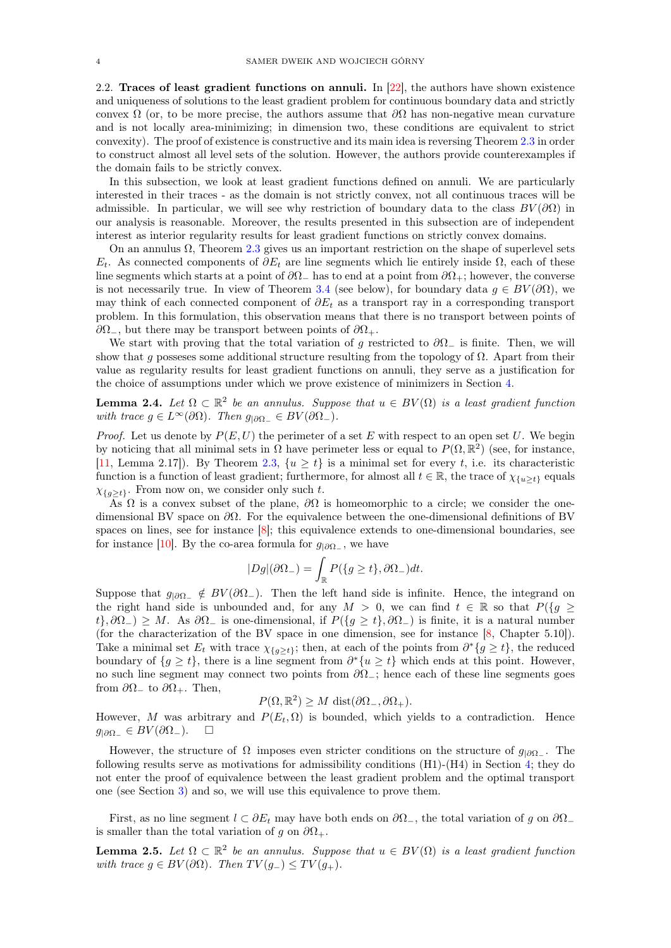2.2. Traces of least gradient functions on annuli. In [\[22\]](#page-18-0), the authors have shown existence and uniqueness of solutions to the least gradient problem for continuous boundary data and strictly convex  $\Omega$  (or, to be more precise, the authors assume that  $\partial\Omega$  has non-negative mean curvature and is not locally area-minimizing; in dimension two, these conditions are equivalent to strict convexity). The proof of existence is constructive and its main idea is reversing Theorem [2.3](#page-2-0) in order to construct almost all level sets of the solution. However, the authors provide counterexamples if the domain fails to be strictly convex.

In this subsection, we look at least gradient functions defined on annuli. We are particularly interested in their traces - as the domain is not strictly convex, not all continuous traces will be admissible. In particular, we will see why restriction of boundary data to the class  $BV(\partial\Omega)$  in our analysis is reasonable. Moreover, the results presented in this subsection are of independent interest as interior regularity results for least gradient functions on strictly convex domains.

On an annulus  $\Omega$ , Theorem [2.3](#page-2-0) gives us an important restriction on the shape of superlevel sets  $E_t$ . As connected components of  $\partial E_t$  are line segments which lie entirely inside  $\Omega$ , each of these line segments which starts at a point of  $\partial\Omega_-\$  has to end at a point from  $\partial\Omega_+$ ; however, the converse is not necessarily true. In view of Theorem [3.4](#page-7-0) (see below), for boundary data  $g \in BV(\partial\Omega)$ , we may think of each connected component of  $\partial E_t$  as a transport ray in a corresponding transport problem. In this formulation, this observation means that there is no transport between points of  $\partial\Omega_$ , but there may be transport between points of  $\partial\Omega_+$ .

We start with proving that the total variation of g restricted to  $\partial\Omega_-\,$  is finite. Then, we will show that q possesses some additional structure resulting from the topology of  $\Omega$ . Apart from their value as regularity results for least gradient functions on annuli, they serve as a justification for the choice of assumptions under which we prove existence of minimizers in Section [4.](#page-9-0)

<span id="page-3-1"></span>**Lemma 2.4.** Let  $\Omega \subset \mathbb{R}^2$  be an annulus. Suppose that  $u \in BV(\Omega)$  is a least gradient function with trace  $g \in L^{\infty}(\partial \Omega)$ . Then  $g_{|\partial \Omega} \in BV(\partial \Omega)$ .

*Proof.* Let us denote by  $P(E, U)$  the perimeter of a set E with respect to an open set U. We begin by noticing that all minimal sets in  $\Omega$  have perimeter less or equal to  $P(\Omega,\mathbb{R}^2)$  (see, for instance, [\[11,](#page-17-9) Lemma 2.17]). By Theorem [2.3,](#page-2-0)  $\{u \ge t\}$  is a minimal set for every t, i.e. its characteristic function is a function of least gradient; furthermore, for almost all  $t \in \mathbb{R}$ , the trace of  $\chi_{\{u>t\}}$  equals  $\chi_{\{q>t\}}$ . From now on, we consider only such t.

As  $\Omega$  is a convex subset of the plane,  $\partial\Omega$  is homeomorphic to a circle; we consider the onedimensional BV space on  $\partial\Omega$ . For the equivalence between the one-dimensional definitions of BV spaces on lines, see for instance [\[8\]](#page-17-10); this equivalence extends to one-dimensional boundaries, see for instance [\[10\]](#page-17-1). By the co-area formula for  $g_{\vert \partial \Omega_-}$ , we have

$$
|Dg|(\partial \Omega_-) = \int_{\mathbb{R}} P(\{g \ge t\}, \partial \Omega_-) dt.
$$

Suppose that  $g_{|\partial\Omega_-}\notin BV(\partial\Omega_-)$ . Then the left hand side is infinite. Hence, the integrand on the right hand side is unbounded and, for any  $M > 0$ , we can find  $t \in \mathbb{R}$  so that  $P({g \geq \frac{1}{t}})$  $t\}$ ,  $\partial\Omega_$  >  $M$ . As  $\partial\Omega_$  is one-dimensional, if  $P(\lbrace g \geq t \rbrace, \partial\Omega_$ ) is finite, it is a natural number (for the characterization of the BV space in one dimension, see for instance [\[8,](#page-17-10) Chapter 5.10]). Take a minimal set  $E_t$  with trace  $\chi_{\{g\geq t\}}$ ; then, at each of the points from  $\partial^*\{g\geq t\}$ , the reduced boundary of  $\{g \geq t\}$ , there is a line segment from  $\partial^*\{u \geq t\}$  which ends at this point. However, no such line segment may connect two points from  $\partial\Omega_+$ ; hence each of these line segments goes from  $\partial\Omega_{-}$  to  $\partial\Omega_{+}$ . Then,

$$
P(\Omega, \mathbb{R}^2) \ge M \, \text{dist}(\partial \Omega_-, \partial \Omega_+).
$$

However, M was arbitrary and  $P(E_t, \Omega)$  is bounded, which yields to a contradiction. Hence  $g_{|\partial\Omega_-}\in BV(\partial\Omega_-).$  □

However, the structure of  $\Omega$  imposes even stricter conditions on the structure of  $g_{|\partial\Omega_-}$ . The following results serve as motivations for admissibility conditions (H1)-(H4) in Section [4;](#page-9-0) they do not enter the proof of equivalence between the least gradient problem and the optimal transport one (see Section [3\)](#page-5-0) and so, we will use this equivalence to prove them.

First, as no line segment  $l \subset \partial E_t$  may have both ends on  $\partial \Omega_-,$ , the total variation of g on  $\partial \Omega_$ is smaller than the total variation of q on  $\partial\Omega_+$ .

<span id="page-3-0"></span>**Lemma 2.5.** Let  $\Omega \subset \mathbb{R}^2$  be an annulus. Suppose that  $u \in BV(\Omega)$  is a least gradient function with trace  $g \in BV(\partial \Omega)$ . Then  $TV(g_-) \leq TV(g_+)$ .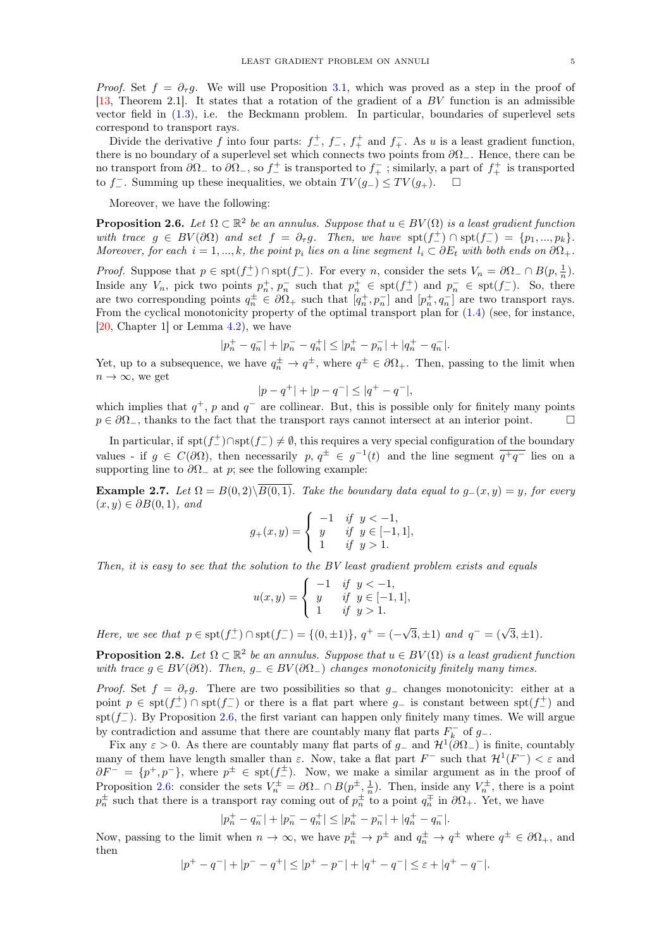*Proof.* Set  $f = \partial_{\tau}g$ . We will use Proposition [3.1,](#page-6-0) which was proved as a step in the proof of [\[13,](#page-17-2) Theorem 2.1]. It states that a rotation of the gradient of a  $BV$  function is an admissible vector field in  $(1.3)$ , i.e. the Beckmann problem. In particular, boundaries of superlevel sets correspond to transport rays.

Divide the derivative f into four parts:  $f^+$ ,  $f^-$ ,  $f^+$  and  $f^-$ . As u is a least gradient function, there is no boundary of a superlevel set which connects two points from  $\partial\Omega_-\$ . Hence, there can be no transport from  $\partial\Omega_{-}$  to  $\partial\Omega_{-}$ , so  $f_{-}^{+}$  is transported to  $f_{+}^{-}$ ; similarly, a part of  $f_{+}^{+}$  is transported to f\_. Summing up these inequalities, we obtain  $TV(g_{-}) \leq TV(g_{+})$ . □

Moreover, we have the following:

<span id="page-4-0"></span>**Proposition 2.6.** Let  $\Omega \subset \mathbb{R}^2$  be an annulus. Suppose that  $u \in BV(\Omega)$  is a least gradient function with trace  $g \in BV(\partial\Omega)$  and set  $f = \partial_{\tau}g$ . Then, we have  $\text{spt}(f_{-}^{+}) \cap \text{spt}(f_{-}^{-}) = \{p_1, ..., p_k\}.$ Moreover, for each  $i = 1, ..., k$ , the point  $p_i$  lies on a line segment  $l_i \subset \partial E_t$  with both ends on  $\partial \Omega_+$ .

*Proof.* Suppose that  $p \in \text{spt}(f_{-}^{+}) \cap \text{spt}(f_{-}^{-})$ . For every n, consider the sets  $V_n = \partial \Omega_{-} \cap B(p, \frac{1}{n})$ . Inside any  $V_n$ , pick two points  $p_n^+, p_n^-$  such that  $p_n^+ \in \text{spt}(f_-^+)$  and  $p_n^- \in \text{spt}(f_-^-)$ . So, there are two corresponding points  $q_n^{\pm} \in \partial \Omega_+$  such that  $[q_n^+, p_n^-]$  and  $[p_n^+, q_n^-]$  are two transport rays. From the cyclical monotonicity property of the optimal transport plan for [\(1.4\)](#page-1-1) (see, for instance, [\[20,](#page-18-5) Chapter 1] or Lemma [4.2\)](#page-10-0), we have

$$
|p_n^+ - q_n^-| + |p_n^- - q_n^+| \le |p_n^+ - p_n^-| + |q_n^+ - q_n^-|.
$$

Yet, up to a subsequence, we have  $q_n^{\pm} \to q^{\pm}$ , where  $q^{\pm} \in \partial \Omega_{+}$ . Then, passing to the limit when  $n \to \infty$ , we get

$$
|p - q^+| + |p - q^-| \le |q^+ - q^-|,
$$

which implies that  $q^+$ , p and  $q^-$  are collinear. But, this is possible only for finitely many points  $p \in \partial \Omega$ , thanks to the fact that the transport rays cannot intersect at an interior point.

In particular, if  $\text{spt}(f_{-}^{+}) \cap \text{spt}(f_{-}^{-}) \neq \emptyset$ , this requires a very special configuration of the boundary values - if  $g \in C(\partial\Omega)$ , then necessarily  $p, q^{\pm} \in g^{-1}(t)$  and the line segment  $\overline{q^+q^-}$  lies on a supporting line to  $\partial\Omega_-\$ at p; see the following example:

**Example 2.7.** Let  $\Omega = B(0, 2)\setminus\overline{B(0, 1)}$ . Take the boundary data equal to  $g_-(x, y) = y$ , for every  $(x, y) \in \partial B(0, 1),$  and

$$
g_{+}(x,y) = \begin{cases} -1 & \text{if } y < -1, \\ y & \text{if } y \in [-1,1], \\ 1 & \text{if } y > 1. \end{cases}
$$

Then, it is easy to see that the solution to the BV least gradient problem exists and equals

$$
u(x,y) = \begin{cases} -1 & \text{if } y < -1, \\ y & \text{if } y \in [-1,1], \\ 1 & \text{if } y > 1. \end{cases}
$$

Here, we see that  $p \in \text{spt}(f^+_-) \cap \text{spt}(f^-_-) = \{(0, \pm 1)\}, q^+ = (-\sqrt{2\pi})$  $\overline{3}, \pm 1$ ) and  $q^- = (\sqrt{3}, \pm 1)$ .

**Proposition 2.8.** Let  $\Omega \subset \mathbb{R}^2$  be an annulus. Suppose that  $u \in BV(\Omega)$  is a least gradient function with trace  $g \in BV(\partial\Omega)$ . Then,  $g_-\in BV(\partial\Omega_-)$  changes monotonicity finitely many times.

*Proof.* Set  $f = \partial_{\tau}g$ . There are two possibilities so that  $g_{-}$  changes monotonicity: either at a point  $p \in \text{spt}(f_{-}^{+}) \cap \text{spt}(f_{-}^{-})$  or there is a flat part where  $g_{-}$  is constant between  $\text{spt}(f_{-}^{+})$  and  $\text{spr}(f_{-}^{-})$ . By Proposition [2.6,](#page-4-0) the first variant can happen only finitely many times. We will argue by contradiction and assume that there are countably many flat parts  $F_k^-$  of  $g_-$ .

Fix any  $\varepsilon > 0$ . As there are countably many flat parts of  $g_-$  and  $\mathcal{H}^1(\partial \Omega_-)$  is finite, countably many of them have length smaller than  $\varepsilon$ . Now, take a flat part  $F^-$  such that  $\mathcal{H}^1(F^-) < \varepsilon$  and  $\partial F^- = \{p^+, p^-\}$ , where  $p^{\pm} \in \text{spt}(f_{-}^{\pm})$ . Now, we make a similar argument as in the proof of Proposition [2.6:](#page-4-0) consider the sets  $V_n^{\pm} = \partial \Omega_{-} \cap B(p^{\pm}, \frac{1}{n})$ . Then, inside any  $V_n^{\pm}$ , there is a point  $p_n^{\pm}$  such that there is a transport ray coming out of  $p_n^{\pm}$  to a point  $q_n^{\mp}$  in  $\partial\Omega_{+}$ . Yet, we have

$$
|p_n^+ - q_n^-| + |p_n^- - q_n^+| \le |p_n^+ - p_n^-| + |q_n^+ - q_n^-|.
$$

Now, passing to the limit when  $n \to \infty$ , we have  $p_n^{\pm} \to p^{\pm}$  and  $q_n^{\pm} \to q^{\pm}$  where  $q^{\pm} \in \partial \Omega_{+}$ , and then

$$
|p^{+} - q^{-}| + |p^{-} - q^{+}| \le |p^{+} - p^{-}| + |q^{+} - q^{-}| \le \varepsilon + |q^{+} - q^{-}|.
$$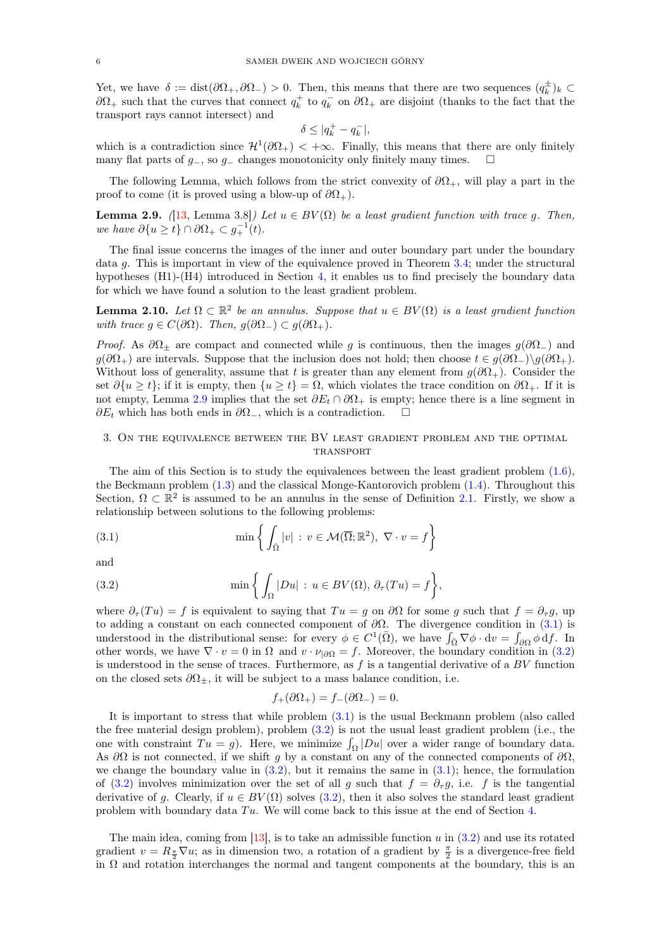Yet, we have  $\delta := \text{dist}(\partial \Omega_+, \partial \Omega_-) > 0$ . Then, this means that there are two sequences  $(q_k^{\pm})_k \subset$  $\partial\Omega_+$  such that the curves that connect  $q_k^+$  to  $q_k^-$  on  $\partial\Omega_+$  are disjoint (thanks to the fact that the transport rays cannot intersect) and

$$
\delta \leq |q_k^+ - q_k^-|,
$$

which is a contradiction since  $\mathcal{H}^1(\partial\Omega_+)$  < + $\infty$ . Finally, this means that there are only finitely many flat parts of  $g_$ , so  $g_$  changes monotonicity only finitely many times.  $□$ 

The following Lemma, which follows from the strict convexity of  $\partial\Omega_{+}$ , will play a part in the proof to come (it is proved using a blow-up of  $\partial\Omega_{+}$ ).

<span id="page-5-1"></span>**Lemma 2.9.** ([\[13,](#page-17-2) Lemma 3.8]) Let  $u \in BV(\Omega)$  be a least gradient function with trace g. Then, we have  $\partial \{u \geq t\} \cap \partial \Omega_+ \subset g_+^{-1}(t)$ .

The final issue concerns the images of the inner and outer boundary part under the boundary data g. This is important in view of the equivalence proved in Theorem [3.4;](#page-7-0) under the structural hypotheses (H1)-(H4) introduced in Section [4,](#page-9-0) it enables us to find precisely the boundary data for which we have found a solution to the least gradient problem.

**Lemma 2.10.** Let  $\Omega \subset \mathbb{R}^2$  be an annulus. Suppose that  $u \in BV(\Omega)$  is a least gradient function with trace  $g \in C(\partial \Omega)$ . Then,  $g(\partial \Omega_{-}) \subset g(\partial \Omega_{+})$ .

*Proof.* As  $\partial\Omega$ <sub>±</sub> are compact and connected while g is continuous, then the images  $g(\partial\Omega)$  and  $g(\partial\Omega_+)$  are intervals. Suppose that the inclusion does not hold; then choose  $t \in g(\partial\Omega_-)\backslash g(\partial\Omega_+)$ . Without loss of generality, assume that t is greater than any element from  $g(\partial\Omega_+)$ . Consider the set  $\partial \{u \geq t\}$ ; if it is empty, then  $\{u \geq t\} = \Omega$ , which violates the trace condition on  $\partial \Omega_+$ . If it is not empty, Lemma [2.9](#page-5-1) implies that the set  $\partial E_t \cap \partial \Omega_+$  is empty; hence there is a line segment in  $\partial E_t$  which has both ends in  $\partial \Omega_-,$  which is a contradiction.  $\square$ 

# <span id="page-5-0"></span>3. On the equivalence between the BV least gradient problem and the optimal **TRANSPORT**

The aim of this Section is to study the equivalences between the least gradient problem [\(1.6\)](#page-1-3), the Beckmann problem [\(1.3\)](#page-1-0) and the classical Monge-Kantorovich problem [\(1.4\)](#page-1-1). Throughout this Section,  $\Omega \subset \mathbb{R}^2$  is assumed to be an annulus in the sense of Definition [2.1.](#page-2-1) Firstly, we show a relationship between solutions to the following problems:

<span id="page-5-2"></span>(3.1) 
$$
\min \left\{ \int_{\overline{\Omega}} |v| : v \in \mathcal{M}(\overline{\Omega}; \mathbb{R}^2), \ \nabla \cdot v = f \right\}
$$

and

(3.2) 
$$
\min\left\{\int_{\Omega}|Du| : u \in BV(\Omega), \partial_{\tau}(Tu) = f\right\},\
$$

where  $\partial_{\tau}(Tu) = f$  is equivalent to saying that  $Tu = g$  on  $\partial\Omega$  for some g such that  $f = \partial_{\tau}g$ , up to adding a constant on each connected component of  $\partial\Omega$ . The divergence condition in [\(3.1\)](#page-5-2) is understood in the distributional sense: for every  $\phi \in C^1(\overline{\Omega})$ , we have  $\int_{\overline{\Omega}} \nabla \phi \cdot dv = \int_{\partial \Omega} \phi \, df$ . In other words, we have  $\nabla \cdot v = 0$  in  $\Omega$  and  $v \cdot \nu_{|\partial\Omega} = f$ . Moreover, the boundary condition in [\(3.2\)](#page-5-3) is understood in the sense of traces. Furthermore, as  $f$  is a tangential derivative of a  $BV$  function on the closed sets  $\partial\Omega_{\pm}$ , it will be subject to a mass balance condition, i.e.

<span id="page-5-3"></span>
$$
f_+(\partial \Omega_+) = f_-(\partial \Omega_-) = 0.
$$

It is important to stress that while problem [\(3.1\)](#page-5-2) is the usual Beckmann problem (also called the free material design problem), problem  $(3.2)$  is not the usual least gradient problem (i.e., the one with constraint  $Tu = g$ ). Here, we minimize  $\int_{\Omega} |Du|$  over a wider range of boundary data. As  $\partial\Omega$  is not connected, if we shift g by a constant on any of the connected components of  $\partial\Omega$ , we change the boundary value in  $(3.2)$ , but it remains the same in  $(3.1)$ ; hence, the formulation of [\(3.2\)](#page-5-3) involves minimization over the set of all g such that  $f = \partial_{\tau} g$ , i.e. f is the tangential derivative of g. Clearly, if  $u \in BV(\Omega)$  solves [\(3.2\)](#page-5-3), then it also solves the standard least gradient problem with boundary data  $Tu$ . We will come back to this issue at the end of Section [4.](#page-9-0)

The main idea, coming from  $[13]$ , is to take an admissible function u in  $(3.2)$  and use its rotated gradient  $v = R_{\frac{\pi}{2}} \nabla u$ ; as in dimension two, a rotation of a gradient by  $\frac{\pi}{2}$  is a divergence-free field in  $\Omega$  and rotation interchanges the normal and tangent components at the boundary, this is an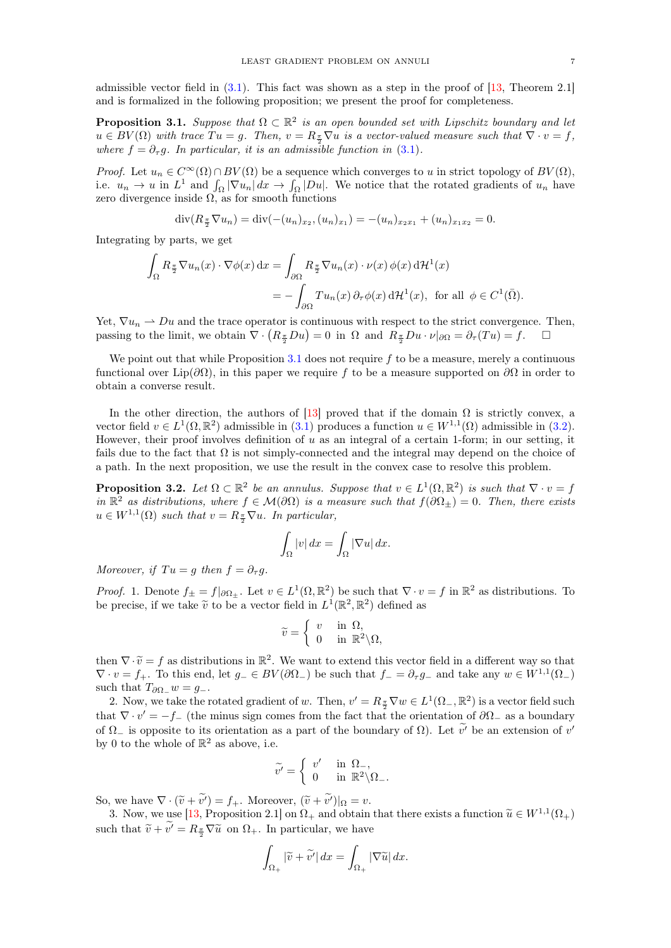admissible vector field in  $(3.1)$ . This fact was shown as a step in the proof of [\[13,](#page-17-2) Theorem 2.1] and is formalized in the following proposition; we present the proof for completeness.

<span id="page-6-0"></span>**Proposition 3.1.** Suppose that  $\Omega \subset \mathbb{R}^2$  is an open bounded set with Lipschitz boundary and let  $u \in BV(\Omega)$  with trace  $Tu = g$ . Then,  $v = R_{\frac{\pi}{2}}\nabla u$  is a vector-valued measure such that  $\nabla \cdot v = f$ , where  $f = \partial_{\tau} g$ . In particular, it is an admissible function in [\(3.1\)](#page-5-2).

*Proof.* Let  $u_n \in C^{\infty}(\Omega) \cap BV(\Omega)$  be a sequence which converges to u in strict topology of  $BV(\Omega)$ , i.e.  $u_n \to u$  in  $L^1$  and  $\int_{\Omega} |\nabla u_n| dx \to \int_{\Omega} |Du|$ . We notice that the rotated gradients of  $u_n$  have zero divergence inside  $\Omega$ , as for smooth functions

$$
\operatorname{div}(R_{\frac{\pi}{2}}\nabla u_n) = \operatorname{div}(-(u_n)_{x_2}, (u_n)_{x_1}) = -(u_n)_{x_2x_1} + (u_n)_{x_1x_2} = 0.
$$

Integrating by parts, we get

$$
\int_{\Omega} R_{\frac{\pi}{2}} \nabla u_n(x) \cdot \nabla \phi(x) dx = \int_{\partial \Omega} R_{\frac{\pi}{2}} \nabla u_n(x) \cdot \nu(x) \phi(x) d\mathcal{H}^1(x)
$$

$$
= -\int_{\partial \Omega} T u_n(x) \partial_{\tau} \phi(x) d\mathcal{H}^1(x), \text{ for all } \phi \in C^1(\overline{\Omega}).
$$

Yet,  $\nabla u_n \rightharpoonup Du$  and the trace operator is continuous with respect to the strict convergence. Then, passing to the limit, we obtain  $\nabla \cdot (R_{\frac{\pi}{2}}Du) = 0$  in  $\Omega$  and  $R_{\frac{\pi}{2}}Du \cdot \nu|_{\partial\Omega} = \partial_{\tau}(Tu) = f.$   $\square$ 

We point out that while Proposition [3.1](#page-6-0) does not require  $f$  to be a measure, merely a continuous functional over Lip( $\partial\Omega$ ), in this paper we require f to be a measure supported on  $\partial\Omega$  in order to obtain a converse result.

In the other direction, the authors of [\[13\]](#page-17-2) proved that if the domain  $\Omega$  is strictly convex, a vector field  $v \in L^1(\Omega, \mathbb{R}^2)$  admissible in [\(3.1\)](#page-5-2) produces a function  $u \in W^{1,1}(\Omega)$  admissible in [\(3.2\)](#page-5-3). However, their proof involves definition of  $u$  as an integral of a certain 1-form; in our setting, it fails due to the fact that  $\Omega$  is not simply-connected and the integral may depend on the choice of a path. In the next proposition, we use the result in the convex case to resolve this problem.

<span id="page-6-1"></span>**Proposition 3.2.** Let  $\Omega \subset \mathbb{R}^2$  be an annulus. Suppose that  $v \in L^1(\Omega, \mathbb{R}^2)$  is such that  $\nabla \cdot v = f$ in  $\mathbb{R}^2$  as distributions, where  $f \in \mathcal{M}(\partial \Omega)$  is a measure such that  $f(\partial \Omega_{\pm}) = 0$ . Then, there exists  $u \in W^{1,1}(\Omega)$  such that  $v = R_{\frac{\pi}{2}} \nabla u$ . In particular,

$$
\int_{\Omega} |v| \, dx = \int_{\Omega} |\nabla u| \, dx.
$$

Moreover, if  $Tu = g$  then  $f = \partial_{\tau} g$ .

*Proof.* 1. Denote  $f_{\pm} = f|_{\partial \Omega_{\pm}}$ . Let  $v \in L^1(\Omega, \mathbb{R}^2)$  be such that  $\nabla \cdot v = f$  in  $\mathbb{R}^2$  as distributions. To be precise, if we take  $\tilde{v}$  to be a vector field in  $L^1(\mathbb{R}^2, \mathbb{R}^2)$  defined as

$$
\widetilde{v} = \begin{cases} v & \text{in } \Omega, \\ 0 & \text{in } \mathbb{R}^2 \backslash \Omega, \end{cases}
$$

then  $\nabla \cdot \tilde{v} = f$  as distributions in  $\mathbb{R}^2$ . We want to extend this vector field in a different way so that  $\nabla \cdot v = f$ . To this and let  $g \in BV(\partial \Omega)$  be such that  $f = \partial g$  and take any  $w \in W^{1,1}(\Omega)$  $\nabla \cdot v = f_+$ . To this end, let  $g_- \in BV(\partial \Omega_-)$  be such that  $f_- = \partial_{\tau} g_-$  and take any  $w \in W^{1,1}(\Omega_-)$ such that  $T_{\partial\Omega}$  =  $y = q_-\$ .

2. Now, we take the rotated gradient of w. Then,  $v' = R_{\frac{\pi}{2}} \nabla w \in L^1(\Omega_-, \mathbb{R}^2)$  is a vector field such that  $\nabla \cdot v' = -f_{-}$  (the minus sign comes from the fact that the orientation of  $\partial \Omega_{-}$  as a boundary of  $\Omega$ <sub>−</sub> is opposite to its orientation as a part of the boundary of  $\Omega$ ). Let  $\tilde{v}'$  be an extension of v' by 0 to the whole of  $\mathbb{R}^2$  as above, i.e.

$$
\widetilde{v'} = \begin{cases} v' & \text{in } \Omega_-, \\ 0 & \text{in } \mathbb{R}^2 \backslash \Omega_- . \end{cases}
$$

So, we have  $\nabla \cdot (\tilde{v} + \tilde{v'}) = f_+$ . Moreover,  $(\tilde{v} + \tilde{v'})|_{\Omega} = v$ .

3. Now, we use [\[13,](#page-17-2) Proposition 2.1] on  $\Omega_+$  and obtain that there exists a function  $\widetilde{u} \in W^{1,1}(\Omega_+)$ such that  $\widetilde{v} + \widetilde{v'} = R_{\frac{\pi}{2}} \nabla \widetilde{u}$  on  $\Omega_+$ . In particular, we have

$$
\int_{\Omega_+} |\widetilde{v} + \widetilde{v'}| \, dx = \int_{\Omega_+} |\nabla \widetilde{u}| \, dx.
$$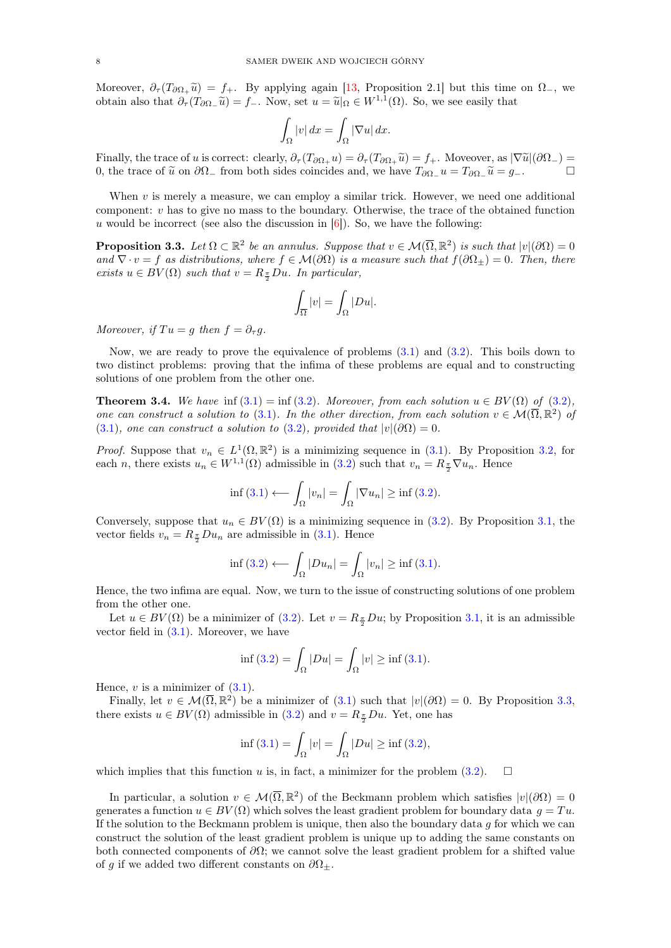Moreover,  $\partial_{\tau}(T_{\partial\Omega_{+}}\tilde{u}) = f_{+}$ . By applying again [\[13,](#page-17-2) Proposition 2.1] but this time on  $\Omega_{-}$ , we obtain also that  $\partial_{\tau}(T_{\partial\Omega_{-}}\tilde{u})=f_{-}.$  Now, set  $u=\tilde{u}|_{\Omega}\in W^{1,1}(\Omega)$ . So, we see easily that

$$
\int_{\Omega} |v| \, dx = \int_{\Omega} |\nabla u| \, dx.
$$

Finally, the trace of u is correct: clearly,  $\partial_{\tau}(T_{\partial\Omega_+}u) = \partial_{\tau}(T_{\partial\Omega_+}\tilde{u}) = f_+$ . Moveover, as  $|\nabla \tilde{u}|(\partial\Omega_-) = 0$  the trace of  $\tilde{u}$  on  $\partial\Omega$  from both sides coincides and we have  $T_{\partial\Omega_+}u = T_{\partial\Omega_+}\tilde{u$ 0, the trace of  $\tilde{u}$  on  $\partial\Omega_{-}$  from both sides coincides and, we have  $T_{\partial\Omega_{-}}u=T_{\partial\Omega_{-}}\tilde{u}=g_{-}$ .

When  $v$  is merely a measure, we can employ a similar trick. However, we need one additional component:  $v$  has to give no mass to the boundary. Otherwise, the trace of the obtained function u would be incorrect (see also the discussion in  $[6]$ ). So, we have the following:

<span id="page-7-1"></span>**Proposition 3.3.** Let  $\Omega \subset \mathbb{R}^2$  be an annulus. Suppose that  $v \in \mathcal{M}(\overline{\Omega}, \mathbb{R}^2)$  is such that  $|v|(\partial \Omega) = 0$ and  $\nabla \cdot v = f$  as distributions, where  $f \in \mathcal{M}(\partial \Omega)$  is a measure such that  $f(\partial \Omega_{\pm}) = 0$ . Then, there exists  $u \in BV(\Omega)$  such that  $v = R_{\frac{\pi}{2}}Du$ . In particular,

$$
\int_{\overline{\Omega}}|v| = \int_{\Omega}|Du|.
$$

Moreover, if  $Tu = g$  then  $f = \partial_{\tau} g$ .

Now, we are ready to prove the equivalence of problems [\(3.1\)](#page-5-2) and [\(3.2\)](#page-5-3). This boils down to two distinct problems: proving that the infima of these problems are equal and to constructing solutions of one problem from the other one.

<span id="page-7-0"></span>**Theorem 3.4.** We have inf  $(3.1) = inf(3.2)$  $(3.1) = inf(3.2)$  $(3.1) = inf(3.2)$ . Moreover, from each solution  $u \in BV(\Omega)$  of  $(3.2)$ , one can construct a solution to [\(3.1\)](#page-5-2). In the other direction, from each solution  $v \in \mathcal{M}(\overline{\Omega}, \mathbb{R}^2)$  of [\(3.1\)](#page-5-2), one can construct a solution to [\(3.2\)](#page-5-3), provided that  $|v|(\partial\Omega) = 0$ .

*Proof.* Suppose that  $v_n \in L^1(\Omega, \mathbb{R}^2)$  is a minimizing sequence in [\(3.1\)](#page-5-2). By Proposition [3.2,](#page-6-1) for each n, there exists  $u_n \in W^{1,1}(\Omega)$  admissible in  $(3.2)$  such that  $v_n = R_{\frac{\pi}{2}} \nabla u_n$ . Hence

$$
\inf (3.1) \longleftarrow \int_{\Omega} |v_n| = \int_{\Omega} |\nabla u_n| \ge \inf (3.2).
$$

Conversely, suppose that  $u_n \in BV(\Omega)$  is a minimizing sequence in [\(3.2\)](#page-5-3). By Proposition [3.1,](#page-6-0) the vector fields  $v_n = R_{\frac{\pi}{2}} D u_n$  are admissible in [\(3.1\)](#page-5-2). Hence

$$
\inf (3.2) \longleftarrow \int_{\Omega} |Du_n| = \int_{\Omega} |v_n| \ge \inf (3.1).
$$

Hence, the two infima are equal. Now, we turn to the issue of constructing solutions of one problem from the other one.

Let  $u \in BV(\Omega)$  be a minimizer of [\(3.2\)](#page-5-3). Let  $v = R_{\frac{\pi}{2}}Du$ ; by Proposition [3.1,](#page-6-0) it is an admissible vector field in  $(3.1)$ . Moreover, we have

$$
\inf (3.2) = \int_{\Omega} |Du| = \int_{\Omega} |v| \ge \inf (3.1).
$$

Hence,  $v$  is a minimizer of  $(3.1)$ .

Finally, let  $v \in \mathcal{M}(\overline{\Omega}, \mathbb{R}^2)$  be a minimizer of  $(3.1)$  such that  $|v|(\partial \Omega) = 0$ . By Proposition [3.3,](#page-7-1) there exists  $u \in BV(\Omega)$  admissible in  $(3.2)$  and  $v = R_{\frac{\pi}{2}}Du$ . Yet, one has

$$
\inf (3.1) = \int_{\Omega} |v| = \int_{\Omega} |Du| \ge \inf (3.2),
$$

which implies that this function u is, in fact, a minimizer for the problem  $(3.2)$ .  $\Box$ 

In particular, a solution  $v \in \mathcal{M}(\overline{\Omega}, \mathbb{R}^2)$  of the Beckmann problem which satisfies  $|v|(\partial \Omega) = 0$ generates a function  $u \in BV(\Omega)$  which solves the least gradient problem for boundary data  $g = Tu$ . If the solution to the Beckmann problem is unique, then also the boundary data  $q$  for which we can construct the solution of the least gradient problem is unique up to adding the same constants on both connected components of  $\partial\Omega$ ; we cannot solve the least gradient problem for a shifted value of g if we added two different constants on  $\partial\Omega_{\pm}$ .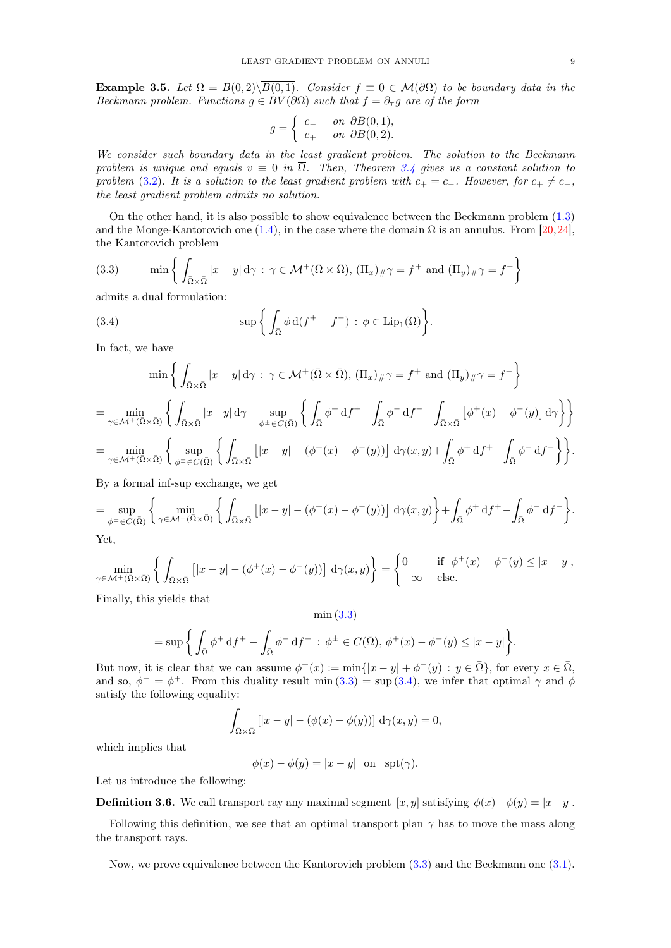Example 3.5. Let  $\Omega = B(0, 2)\setminus\overline{B(0, 1)}$ . Consider  $f \equiv 0 \in \mathcal{M}(\partial\Omega)$  to be boundary data in the Beckmann problem. Functions  $g \in BV(\partial\Omega)$  such that  $f = \partial_{\tau}g$  are of the form

$$
g = \begin{cases} c_- & \text{on } \partial B(0,1), \\ c_+ & \text{on } \partial B(0,2). \end{cases}
$$

We consider such boundary data in the least gradient problem. The solution to the Beckmann problem is unique and equals  $v \equiv 0$  in  $\overline{\Omega}$ . Then, Theorem [3.4](#page-7-0) gives us a constant solution to problem [\(3.2\)](#page-5-3). It is a solution to the least gradient problem with  $c_+ = c_-\$ . However, for  $c_+ \neq c_-,$ the least gradient problem admits no solution.

On the other hand, it is also possible to show equivalence between the Beckmann problem [\(1.3\)](#page-1-0) and the Monge-Kantorovich one [\(1.4\)](#page-1-1), in the case where the domain  $\Omega$  is an annulus. From [\[20,](#page-18-5)[24\]](#page-18-7), the Kantorovich problem

<span id="page-8-0"></span>(3.3) 
$$
\min \left\{ \int_{\bar{\Omega} \times \bar{\Omega}} |x - y| d\gamma : \gamma \in \mathcal{M}^+(\bar{\Omega} \times \bar{\Omega}), (\Pi_x)_{\#} \gamma = f^+ \text{ and } (\Pi_y)_{\#} \gamma = f^- \right\}
$$

admits a dual formulation:

<span id="page-8-1"></span>(3.4) 
$$
\sup \left\{ \int_{\bar{\Omega}} \phi \, d(f^+ - f^-) \, : \, \phi \in \text{Lip}_1(\Omega) \right\}.
$$

In fact, we have

$$
\min \left\{ \int_{\overline{\Omega} \times \overline{\Omega}} |x - y| d\gamma \, : \, \gamma \in \mathcal{M}^+(\overline{\Omega} \times \overline{\Omega}), \, (\Pi_x)_{\#} \gamma = f^+ \text{ and } (\Pi_y)_{\#} \gamma = f^- \right\}
$$
\n
$$
= \min_{\gamma \in \mathcal{M}^+(\overline{\Omega} \times \overline{\Omega})} \left\{ \int_{\overline{\Omega} \times \overline{\Omega}} |x - y| d\gamma + \sup_{\phi^{\pm} \in C(\overline{\Omega})} \left\{ \int_{\overline{\Omega}} \phi^{\pm} d f^{\pm} - \int_{\overline{\Omega}} \phi^- d f^- - \int_{\overline{\Omega} \times \overline{\Omega}} \left[ \phi^{\pm} (x) - \phi^-(y) \right] d\gamma \right\} \right\}
$$
\n
$$
= \min_{\gamma \in \mathcal{M}^+(\overline{\Omega} \times \overline{\Omega})} \left\{ \sup_{\phi^{\pm} \in C(\overline{\Omega})} \left\{ \int_{\overline{\Omega} \times \overline{\Omega}} \left[ |x - y| - (\phi^{\pm} (x) - \phi^-(y)) \right] d\gamma (x, y) + \int_{\overline{\Omega}} \phi^{\pm} d f^{\pm} - \int_{\overline{\Omega}} \phi^- d f^- \right\} \right\}.
$$

By a formal inf-sup exchange, we get

$$
= \sup_{\phi^{\pm} \in C(\bar{\Omega})} \left\{ \min_{\gamma \in \mathcal{M}^{+}(\bar{\Omega} \times \bar{\Omega})} \left\{ \int_{\bar{\Omega} \times \bar{\Omega}} \left[ |x - y| - (\phi^{+}(x) - \phi^{-}(y)) \right] d\gamma(x, y) \right\} + \int_{\bar{\Omega}} \phi^{+} d f^{+} - \int_{\bar{\Omega}} \phi^{-} d f^{-} \right\}.
$$
  
Yet

Yet,

$$
\min_{\gamma \in \mathcal{M}^+(\bar{\Omega} \times \bar{\Omega})} \left\{ \int_{\bar{\Omega} \times \bar{\Omega}} \left[ |x - y| - (\phi^+(x) - \phi^-(y)) \right] d\gamma(x, y) \right\} = \begin{cases} 0 & \text{if } \phi^+(x) - \phi^-(y) \le |x - y|, \\ -\infty & \text{else.} \end{cases}
$$

Finally, this yields that

min [\(3.3\)](#page-8-0)

$$
= \sup \bigg\{ \int_{\bar{\Omega}} \phi^+ \, df^+ - \int_{\bar{\Omega}} \phi^- \, df^- \, : \, \phi^\pm \in C(\bar{\Omega}), \, \phi^+(x) - \phi^-(y) \leq |x - y| \bigg\}.
$$

But now, it is clear that we can assume  $\phi^+(x) := \min\{|x - y| + \phi^-(y) : y \in \bar{\Omega}\}\)$ , for every  $x \in \bar{\Omega}$ , and so,  $\phi^{-} = \phi^{+}$ . From this duality result min [\(3.3\)](#page-8-0) = sup [\(3.4\)](#page-8-1), we infer that optimal  $\gamma$  and  $\phi$ satisfy the following equality:

$$
\int_{\bar{\Omega}\times\bar{\Omega}}\left[|x-y|-(\phi(x)-\phi(y))\right] d\gamma(x,y)=0,
$$

which implies that

 $\phi(x) - \phi(y) = |x - y|$  on spt( $\gamma$ ).

Let us introduce the following:

**Definition 3.6.** We call transport ray any maximal segment  $[x, y]$  satisfying  $\phi(x) - \phi(y) = |x - y|$ .

Following this definition, we see that an optimal transport plan  $\gamma$  has to move the mass along the transport rays.

Now, we prove equivalence between the Kantorovich problem [\(3.3\)](#page-8-0) and the Beckmann one [\(3.1\)](#page-5-2).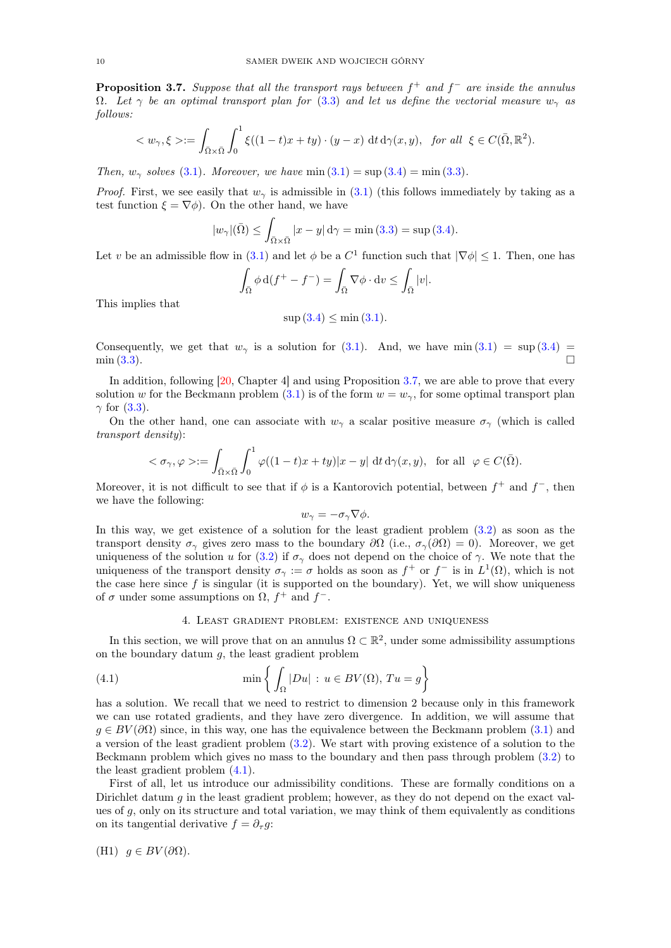<span id="page-9-1"></span>**Proposition 3.7.** Suppose that all the transport rays between  $f^+$  and  $f^-$  are inside the annulus  $\Omega$ . Let  $\gamma$  be an optimal transport plan for [\(3.3\)](#page-8-0) and let us define the vectorial measure  $w_{\gamma}$  as follows:

$$
\langle w_{\gamma}, \xi \rangle := \int_{\bar{\Omega} \times \bar{\Omega}} \int_0^1 \xi((1-t)x + ty) \cdot (y-x) \, dt \, d\gamma(x, y), \text{ for all } \xi \in C(\bar{\Omega}, \mathbb{R}^2).
$$

Then,  $w_{\gamma}$  solves [\(3.1\)](#page-5-2). Moreover, we have min  $(3.1) = \sup(3.4) = \min(3.3)$  $(3.1) = \sup(3.4) = \min(3.3)$  $(3.1) = \sup(3.4) = \min(3.3)$  $(3.1) = \sup(3.4) = \min(3.3)$ .

*Proof.* First, we see easily that  $w<sub>z</sub>$  is admissible in [\(3.1\)](#page-5-2) (this follows immediately by taking as a test function  $\xi = \nabla \phi$ . On the other hand, we have

$$
|w_{\gamma}|(\bar{\Omega}) \le \int_{\bar{\Omega} \times \bar{\Omega}} |x - y| d\gamma = \min(3.3) = \sup(3.4).
$$

Let v be an admissible flow in [\(3.1\)](#page-5-2) and let  $\phi$  be a  $C^1$  function such that  $|\nabla \phi| \leq 1$ . Then, one has

$$
\int_{\bar{\Omega}} \phi \, d(f^+ - f^-) = \int_{\bar{\Omega}} \nabla \phi \cdot dv \le \int_{\bar{\Omega}} |v|.
$$

This implies that

$$
\sup(3.4) \le \min(3.1).
$$

Consequently, we get that  $w_{\gamma}$  is a solution for [\(3.1\)](#page-5-2). And, we have min (3.1) = sup [\(3.4\)](#page-8-1) =  $\min(3.3)$  $\min(3.3)$ .

In addition, following [\[20,](#page-18-5) Chapter 4] and using Proposition [3.7,](#page-9-1) we are able to prove that every solution w for the Beckmann problem  $(3.1)$  is of the form  $w = w_{\gamma}$ , for some optimal transport plan  $\gamma$  for [\(3.3\)](#page-8-0).

On the other hand, one can associate with  $w_{\gamma}$  a scalar positive measure  $\sigma_{\gamma}$  (which is called transport density):

$$
\langle \sigma_{\gamma}, \varphi \rangle := \int_{\bar{\Omega} \times \bar{\Omega}} \int_0^1 \varphi((1-t)x + ty)|x - y| dt d\gamma(x, y), \text{ for all } \varphi \in C(\bar{\Omega}).
$$

Moreover, it is not difficult to see that if  $\phi$  is a Kantorovich potential, between  $f^+$  and  $f^-$ , then we have the following:

$$
w_{\gamma} = -\sigma_{\gamma} \nabla \phi.
$$

In this way, we get existence of a solution for the least gradient problem [\(3.2\)](#page-5-3) as soon as the transport density  $\sigma_{\gamma}$  gives zero mass to the boundary  $\partial\Omega$  (i.e.,  $\sigma_{\gamma}(\partial\Omega) = 0$ ). Moreover, we get uniqueness of the solution u for [\(3.2\)](#page-5-3) if  $\sigma_{\gamma}$  does not depend on the choice of  $\gamma$ . We note that the uniqueness of the transport density  $\sigma_{\gamma} := \sigma$  holds as soon as  $f^{+}$  or  $f^{-}$  is in  $L^{1}(\Omega)$ , which is not the case here since  $f$  is singular (it is supported on the boundary). Yet, we will show uniqueness of  $\sigma$  under some assumptions on  $\Omega$ ,  $f^+$  and  $f^-$ .

## <span id="page-9-2"></span>4. Least gradient problem: existence and uniqueness

<span id="page-9-0"></span>In this section, we will prove that on an annulus  $\Omega \subset \mathbb{R}^2$ , under some admissibility assumptions on the boundary datum  $q$ , the least gradient problem

(4.1) 
$$
\min \left\{ \int_{\Omega} |Du| : u \in BV(\Omega), Tu = g \right\}
$$

has a solution. We recall that we need to restrict to dimension 2 because only in this framework we can use rotated gradients, and they have zero divergence. In addition, we will assume that  $g \in BV(\partial\Omega)$  since, in this way, one has the equivalence between the Beckmann problem  $(3.1)$  and a version of the least gradient problem [\(3.2\)](#page-5-3). We start with proving existence of a solution to the Beckmann problem which gives no mass to the boundary and then pass through problem [\(3.2\)](#page-5-3) to the least gradient problem [\(4.1\)](#page-9-2).

First of all, let us introduce our admissibility conditions. These are formally conditions on a Dirichlet datum  $g$  in the least gradient problem; however, as they do not depend on the exact values of  $g$ , only on its structure and total variation, we may think of them equivalently as conditions on its tangential derivative  $f = \partial_{\tau} g$ :

(H1) 
$$
g \in BV(\partial \Omega)
$$
.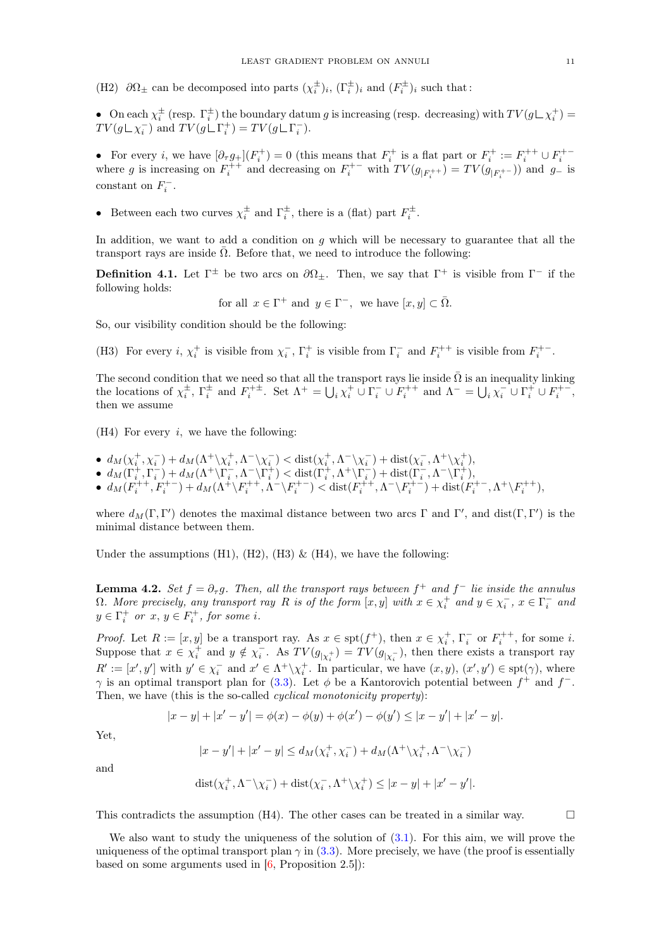(H2)  $\partial\Omega_{\pm}$  can be decomposed into parts  $(\chi_i^{\pm})_i$ ,  $(\Gamma_i^{\pm})_i$  and  $(F_i^{\pm})_i$  such that:

• On each  $\chi_i^{\pm}$  (resp.  $\Gamma_i^{\pm}$ ) the boundary datum g is increasing (resp. decreasing) with  $TV(g \sqcup \chi_i^+)$  =  $TV(g \sqcup \chi_i^-)$  and  $TV(g \sqcup \Gamma_i^+) = TV(g \sqcup \Gamma_i^-)$ .

• For every *i*, we have  $[∂<sub>τ</sub> g<sub>+</sub>](F<sub>i</sub><sup>+</sup>) = 0$  (this means that  $F<sub>i</sub><sup>+</sup>$  is a flat part or  $F<sub>i</sub><sup>+</sup> := F<sub>i</sub><sup>++</sup> ∪ F<sub>i</sub><sup>++</sup>$  where *g* is increasing on  $F<sub>i</sub><sup>++</sup>$  and decreasing on  $F$ constant on  $F_i^-$ .

• Between each two curves  $\chi_i^{\pm}$  and  $\Gamma_i^{\pm}$ , there is a (flat) part  $F_i^{\pm}$ .

In addition, we want to add a condition on  $g$  which will be necessary to guarantee that all the transport rays are inside  $\overline{\Omega}$ . Before that, we need to introduce the following:

**Definition 4.1.** Let  $\Gamma^{\pm}$  be two arcs on  $\partial\Omega_{\pm}$ . Then, we say that  $\Gamma^{+}$  is visible from  $\Gamma^{-}$  if the following holds:

for all 
$$
x \in \Gamma^+
$$
 and  $y \in \Gamma^-$ , we have  $[x, y] \subset \overline{\Omega}$ .

So, our visibility condition should be the following:

(H3) For every  $i, \chi_i^+$  is visible from  $\chi_i^-$ ,  $\Gamma_i^+$  is visible from  $\Gamma_i^-$  and  $F_i^{++}$  is visible from  $F_i^{+-}$ .

The second condition that we need so that all the transport rays lie inside  $\overline{\Omega}$  is an inequality linking the locations of  $\chi_i^{\pm}$ ,  $\Gamma_i^{\pm}$  and  $F_i^{+\pm}$ . Set  $\Lambda^+ = \bigcup_i \chi_i^+ \cup \Gamma_i^- \cup F_i^{++}$  and  $\Lambda^- = \bigcup_i \chi_i^- \cup \Gamma_i^+ \cup F_i^{+-}$ , then we assume

 $(H4)$  For every *i*, we have the following:

- $d_M(\chi_i^+,\chi_i^-)+d_M(\Lambda^+\backslash\chi_i^+,\Lambda^-\backslash\chi_i^-)< \text{dist}(\chi_i^+,\Lambda^-\backslash\chi_i^-)+\text{dist}(\chi_i^-,\Lambda^+\backslash\chi_i^+),$
- $\bullet \ \ d_M(\Gamma_i^+,\Gamma_i^-)+d_M(\Lambda^+\backslash\Gamma_i^-,\Lambda^-\backslash\Gamma_i^+) < \text{dist}(\Gamma_i^+,\Lambda^+\backslash\Gamma_i^-)+\text{dist}(\Gamma_i^-,\Lambda^-\backslash\Gamma_i^+),$
- $d_M(F_i^{++}, F_i^{+-}) + d_M(\Lambda^+ \setminus F_i^{++}, \Lambda^- \setminus F_i^{+-}) < \text{dist}(F_i^{++}, \Lambda^- \setminus F_i^{+-}) + \text{dist}(F_i^{+-}, \Lambda^+ \setminus F_i^{++}),$

where  $d_M(\Gamma, \Gamma')$  denotes the maximal distance between two arcs  $\Gamma$  and  $\Gamma'$ , and dist $(\Gamma, \Gamma')$  is the minimal distance between them.

Under the assumptions (H1), (H2), (H3)  $\&$  (H4), we have the following:

<span id="page-10-0"></span>**Lemma 4.2.** Set  $f = \partial_{\tau}g$ . Then, all the transport rays between  $f^+$  and  $f^-$  lie inside the annulus  $\Omega$ . More precisely, any transport ray R is of the form  $[x, y]$  with  $x \in \chi_i^+$  and  $y \in \chi_i^-$ ,  $x \in \Gamma_i^-$  and  $y \in \Gamma_i^+$  or  $x, y \in F_i^+$ , for some i.

*Proof.* Let  $R := [x, y]$  be a transport ray. As  $x \in \text{spt}(f^+)$ , then  $x \in \chi_i^+$ ,  $\Gamma_i^-$  or  $F_i^{++}$ , for some *i*. Suppose that  $x \in \chi_i^+$  and  $y \notin \chi_i^-$ . As  $TV(g_{|\chi_i^+}) = TV(g_{|\chi_i^-})$ , then there exists a transport ray  $R' := [x', y']$  with  $y' \in \chi_i^-$  and  $x' \in \Lambda^+ \setminus \chi_i^+$ . In particular, we have  $(x, y), (x', y') \in \text{spt}(\gamma)$ , where  $\gamma$  is an optimal transport plan for [\(3.3\)](#page-8-0). Let  $\phi$  be a Kantorovich potential between  $f^+$  and  $f^-$ . Then, we have (this is the so-called *cyclical monotonicity property*):

$$
|x - y| + |x' - y'| = \phi(x) - \phi(y) + \phi(x') - \phi(y') \le |x - y'| + |x' - y|.
$$

Yet,

$$
|x-y'|+|x'-y|\leq d_M(\chi_i^+,\chi_i^-)+d_M(\Lambda^+\backslash\chi_i^+,\Lambda^-\backslash\chi_i^-)
$$

and

$$
\textnormal{dist}(\chi_i^+, \Lambda^- \backslash \chi_i^-) + \textnormal{dist}(\chi_i^-, \Lambda^+ \backslash \chi_i^+) \leq |x-y| + |x'-y'|.
$$

This contradicts the assumption (H4). The other cases can be treated in a similar way.  $\Box$ 

We also want to study the uniqueness of the solution of [\(3.1\)](#page-5-2). For this aim, we will prove the uniqueness of the optimal transport plan  $\gamma$  in [\(3.3\)](#page-8-0). More precisely, we have (the proof is essentially based on some arguments used in  $[6,$  Proposition 2.5]):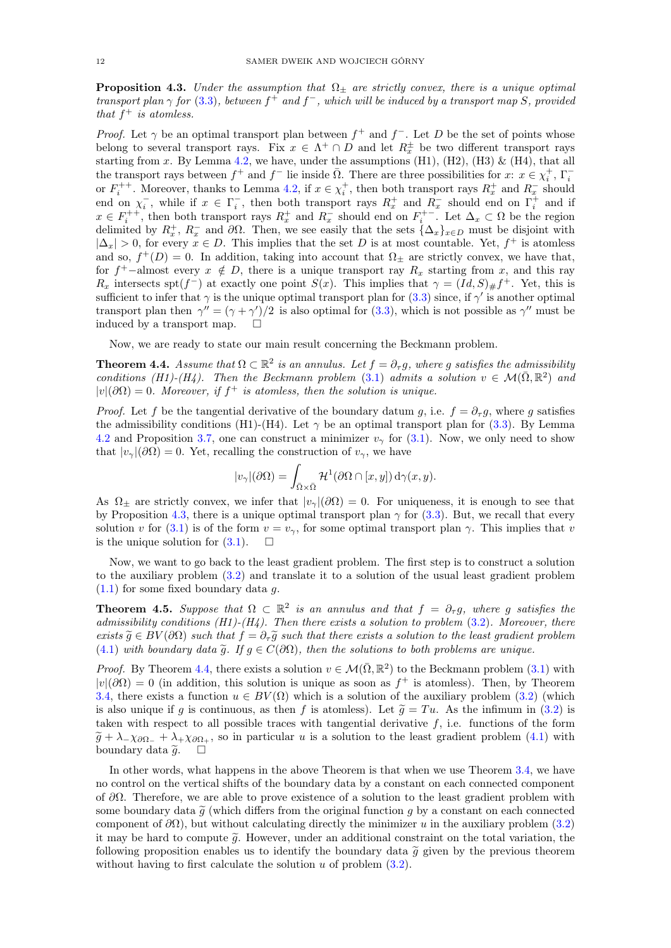<span id="page-11-0"></span>**Proposition 4.3.** Under the assumption that  $\Omega_{\pm}$  are strictly convex, there is a unique optimal transport plan  $\gamma$  for [\(3.3\)](#page-8-0), between  $f^+$  and  $f^-$ , which will be induced by a transport map S, provided that  $f^+$  is atomless.

*Proof.* Let  $\gamma$  be an optimal transport plan between  $f^+$  and  $f^-$ . Let D be the set of points whose belong to several transport rays. Fix  $x \in \Lambda^+ \cap D$  and let  $R_x^{\pm}$  be two different transport rays starting from x. By Lemma [4.2,](#page-10-0) we have, under the assumptions (H1), (H2), (H3) & (H4), that all the transport rays between  $f^+$  and  $f^-$  lie inside  $\overline{\Omega}$ . There are three possibilities for  $x: x \in \chi_i^+$ ,  $\Gamma_i^$ ine transport rays between  $j$  and  $j$  he inside  $\Omega$ . There are time possibilities for  $x$ .  $x \in \chi_i$ ,  $i_i$  or  $F_i^{++}$ . Moreover, thanks to Lemma [4.2,](#page-10-0) if  $x \in \chi_i^+$ , then both transport rays  $R_x^+$  and  $R_x^-$  should end on  $\chi_i^-$ , while if  $x \in \Gamma_i^-$ , then both transport rays  $R_x^+$  and  $R_x^-$  should end on  $\Gamma_i^+$  and if  $x \in F_i^{++}$ , then both transport rays  $R_x^+$  and  $R_x^-$  should end on  $F_i^{+-}$ . Let  $\Delta_x \subset \Omega$  be the region delimited by  $R_x^+$ ,  $R_x^-$  and  $\partial\Omega$ . Then, we see easily that the sets  $\{\Delta_x\}_{x\in D}$  must be disjoint with  $|\Delta_x| > 0$ , for every  $x \in D$ . This implies that the set D is at most countable. Yet,  $f^+$  is atomless and so,  $f^+(D) = 0$ . In addition, taking into account that  $\Omega_{\pm}$  are strictly convex, we have that, for f<sup>+</sup>-almost every  $x \notin D$ , there is a unique transport ray  $R_x$  starting from x, and this ray  $R_x$  intersects spt(f<sup>-</sup>) at exactly one point  $S(x)$ . This implies that  $\gamma = (Id, S)_{\#} f^{+}$ . Yet, this is sufficient to infer that  $\gamma$  is the unique optimal transport plan for [\(3.3\)](#page-8-0) since, if  $\gamma'$  is another optimal transport plan then  $\gamma'' = (\gamma + \gamma')/2$  is also optimal for [\(3.3\)](#page-8-0), which is not possible as  $\gamma''$  must be induced by a transport map.  $\square$ 

Now, we are ready to state our main result concerning the Beckmann problem.

<span id="page-11-1"></span>**Theorem 4.4.** Assume that  $\Omega \subset \mathbb{R}^2$  is an annulus. Let  $f = \partial_{\tau} g$ , where g satisfies the admissibility conditions (H1)-(H4). Then the Beckmann problem [\(3.1\)](#page-5-2) admits a solution  $v \in \mathcal{M}(\bar{\Omega}, \mathbb{R}^2)$  and  $|v|(\partial\Omega) = 0$ . Moreover, if  $f^+$  is atomless, then the solution is unique.

*Proof.* Let f be the tangential derivative of the boundary datum g, i.e.  $f = \partial_{\tau} g$ , where g satisfies the admissibility conditions (H1)-(H4). Let  $\gamma$  be an optimal transport plan for [\(3.3\)](#page-8-0). By Lemma [4.2](#page-10-0) and Proposition [3.7,](#page-9-1) one can construct a minimizer  $v<sub>γ</sub>$  for [\(3.1\)](#page-5-2). Now, we only need to show that  $|v_{\gamma}|(\partial \Omega) = 0$ . Yet, recalling the construction of  $v_{\gamma}$ , we have

$$
|v_{\gamma}|(\partial \Omega) = \int_{\bar{\Omega}\times\bar{\Omega}} \mathcal{H}^{1}(\partial \Omega \cap [x, y]) d\gamma(x, y).
$$

As  $\Omega_+$  are strictly convex, we infer that  $|v_\gamma(\partial \Omega)| = 0$ . For uniqueness, it is enough to see that by Proposition [4.3,](#page-11-0) there is a unique optimal transport plan  $\gamma$  for [\(3.3\)](#page-8-0). But, we recall that every solution v for [\(3.1\)](#page-5-2) is of the form  $v = v_{\gamma}$ , for some optimal transport plan  $\gamma$ . This implies that v is the unique solution for  $(3.1)$ .  $\Box$ 

Now, we want to go back to the least gradient problem. The first step is to construct a solution to the auxiliary problem [\(3.2\)](#page-5-3) and translate it to a solution of the usual least gradient problem  $(1.1)$  for some fixed boundary data g.

**Theorem 4.5.** Suppose that  $\Omega \subset \mathbb{R}^2$  is an annulus and that  $f = \partial_{\tau}g$ , where g satisfies the admissibility conditions  $(H1)-(H4)$ . Then there exists a solution to problem  $(3.2)$ . Moreover, there exists  $\widetilde{g} \in BV(\partial\Omega)$  such that  $f = \partial_{\tau}\widetilde{g}$  such that there exists a solution to the least gradient problem [\(4.1\)](#page-9-2) with boundary data  $\tilde{q}$ . If  $q \in C(\partial\Omega)$ , then the solutions to both problems are unique.

*Proof.* By Theorem [4.4,](#page-11-1) there exists a solution  $v \in \mathcal{M}(\bar{\Omega}, \mathbb{R}^2)$  to the Beckmann problem [\(3.1\)](#page-5-2) with  $|v|(\partial\Omega) = 0$  (in addition, this solution is unique as soon as  $f^+$  is atomless). Then, by Theorem [3.4,](#page-7-0) there exists a function  $u \in BV(\Omega)$  which is a solution of the auxiliary problem [\(3.2\)](#page-5-3) (which is also unique if g is continuous, as then f is atomless). Let  $\tilde{g} = Tu$ . As the infimum in [\(3.2\)](#page-5-3) is taken with respect to all possible traces with tangential derivative  $f$ , i.e. functions of the form  $\tilde{g} + \lambda - \chi_{\partial \Omega_{-}} + \lambda_{+\chi_{\partial \Omega_{+}}}$ , so in particular u is a solution to the least gradient problem [\(4.1\)](#page-9-2) with boundary data  $\tilde{g}$ boundary data  $\tilde{g}$ .

In other words, what happens in the above Theorem is that when we use Theorem [3.4,](#page-7-0) we have no control on the vertical shifts of the boundary data by a constant on each connected component of ∂Ω. Therefore, we are able to prove existence of a solution to the least gradient problem with some boundary data  $\tilde{g}$  (which differs from the original function g by a constant on each connected component of  $\partial\Omega$ ), but without calculating directly the minimizer u in the auxiliary problem [\(3.2\)](#page-5-3) it may be hard to compute  $\tilde{g}$ . However, under an additional constraint on the total variation, the following proposition enables us to identify the boundary data  $\tilde{g}$  given by the previous theorem without having to first calculate the solution  $u$  of problem  $(3.2)$ .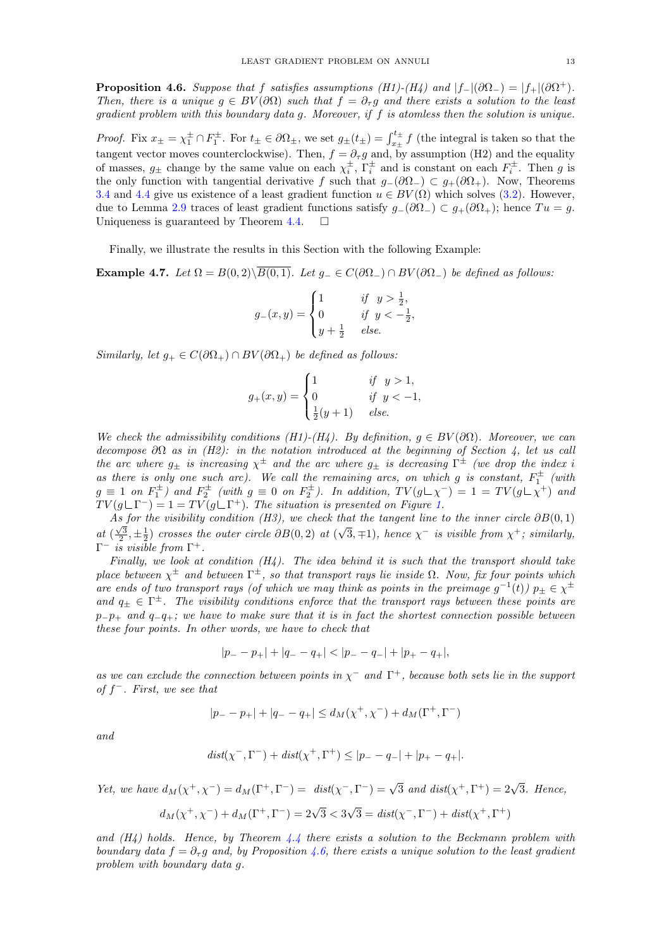<span id="page-12-0"></span>**Proposition 4.6.** Suppose that f satisfies assumptions (H1)-(H4) and  $|f_{-}|(\partial \Omega_{-}) = |f_{+}|(\partial \Omega^{+})$ . Then, there is a unique  $g \in BV(\partial\Omega)$  such that  $f = \partial_{\tau}g$  and there exists a solution to the least gradient problem with this boundary data g. Moreover, if f is atomless then the solution is unique.

*Proof.* Fix  $x_{\pm} = \chi_1^{\pm} \cap F_1^{\pm}$ . For  $t_{\pm} \in \partial \Omega_{\pm}$ , we set  $g_{\pm}(t_{\pm}) = \int_{x_{\pm}}^{t_{\pm}} f$  (the integral is taken so that the tangent vector moves counterclockwise). Then,  $f = \partial_{\tau} g$  and, by assumption (H2) and the equality of masses,  $g_{\pm}$  change by the same value on each  $\chi_i^{\pm}$ ,  $\Gamma_i^{\pm}$  and is constant on each  $F_i^{\pm}$ . Then g is the only function with tangential derivative f such that  $g_-(\partial\Omega_+) \subset g_+(\partial\Omega_+)$ . Now, Theorems [3.4](#page-7-0) and [4.4](#page-11-1) give us existence of a least gradient function  $u \in BV(\Omega)$  which solves [\(3.2\)](#page-5-3). However, due to Lemma [2.9](#page-5-1) traces of least gradient functions satisfy  $g_-(\partial\Omega_-) \subset g_+(\partial\Omega_+)$ ; hence  $Tu = g$ . Uniqueness is guaranteed by Theorem [4.4.](#page-11-1)  $\Box$ 

Finally, we illustrate the results in this Section with the following Example:

Example 4.7. Let  $\Omega = B(0, 2)\setminus\overline{B(0, 1)}$ . Let  $g_-\in C(\partial\Omega_-) \cap BV(\partial\Omega_-)$  be defined as follows:

$$
g_{-}(x,y) = \begin{cases} 1 & \text{if } y > \frac{1}{2}, \\ 0 & \text{if } y < -\frac{1}{2}, \\ y + \frac{1}{2} & \text{else.} \end{cases}
$$

Similarly, let  $g_+ \in C(\partial \Omega_+) \cap BV(\partial \Omega_+)$  be defined as follows:

$$
g_{+}(x,y) = \begin{cases} 1 & \text{if } y > 1, \\ 0 & \text{if } y < -1, \\ \frac{1}{2}(y+1) & \text{else.} \end{cases}
$$

We check the admissibility conditions (H1)-(H4). By definition,  $g \in BV(\partial\Omega)$ . Moreover, we can decompose  $\partial\Omega$  as in (H2): in the notation introduced at the beginning of Section 4, let us call the arc where  $g_{\pm}$  is increasing  $\chi^{\pm}$  and the arc where  $g_{\pm}$  is decreasing  $\Gamma^{\pm}$  (we drop the index i as there is only one such arc). We call the remaining arcs, on which g is constant,  $F_1^{\pm}$  (with  $g \equiv 1$  on  $F_1^{\pm}$ ) and  $F_2^{\pm}$  (with  $g \equiv 0$  on  $F_2^{\pm}$ ). In addition,  $TV(g \sqcup \chi^-) = 1 = TV(g \sqcup \chi^+)$  and  $TV(g \sqcup \Gamma^{-}) = 1 = TV(g \sqcup \Gamma^{+})$ . The situation is presented on Figure [1.](#page-13-1)

As for the visibility condition (H3), we check that the tangent line to the inner circle  $\partial B(0,1)$ at  $(\frac{\sqrt{3}}{2}, \pm \frac{1}{2})$  crosses the outer circle  $\partial B(0,2)$  at  $(\sqrt{3}, \mp 1)$ , hence  $\chi^-$  is visible from  $\chi^+$ ; similarly,  $Γ<sup>-</sup>$  is visible from  $Γ<sup>+</sup>$ .

Finally, we look at condition  $(H_4)$ . The idea behind it is such that the transport should take place between  $\chi^{\pm}$  and between  $\Gamma^{\pm}$ , so that transport rays lie inside  $\Omega$ . Now, fix four points which are ends of two transport rays (of which we may think as points in the preimage  $g^{-1}(t)$ )  $p_{\pm} \in \chi^{\pm}$ and  $q_{\pm} \in \Gamma^{\pm}$ . The visibility conditions enforce that the transport rays between these points are  $p_{p+1}$  and  $q_{-1}$ ; we have to make sure that it is in fact the shortest connection possible between these four points. In other words, we have to check that

$$
|p_{-}-p_{+}|+|q_{-}-q_{+}|<|p_{-}-q_{-}|+|p_{+}-q_{+}|,
$$

as we can exclude the connection between points in  $\chi^-$  and  $\Gamma^+$ , because both sets lie in the support of  $f^-$ . First, we see that

$$
|p_- - p_+| + |q_- - q_+| \le d_M(\chi^+, \chi^-) + d_M(\Gamma^+, \Gamma^-)
$$

and

$$
\mathit{dist}(\chi^-,\Gamma^-)+\mathit{dist}(\chi^+,\Gamma^+)\leq |p_--q_-|+|p_+-q_+|.
$$

Yet, we have  $d_M(\chi^+, \chi^-) = d_M(\Gamma^+, \Gamma^-) = \text{dist}(\chi^-, \Gamma^-) = \sqrt{3}$  and  $\text{dist}(\chi^+, \Gamma^+) = 2\sqrt{3}$ . Hence,  $d_M(\chi^+,\chi^-) + d_M(\Gamma^+,\Gamma^-) = 2\sqrt{3} < 3$ √  $\overline{3} = dist(\chi^-, \Gamma^-) + dist(\chi^+, \Gamma^+)$ 

and  $(H_4)$  holds. Hence, by Theorem [4.4](#page-11-1) there exists a solution to the Beckmann problem with boundary data  $f = \partial_{\tau}g$  and, by Proposition [4.6,](#page-12-0) there exists a unique solution to the least gradient problem with boundary data g.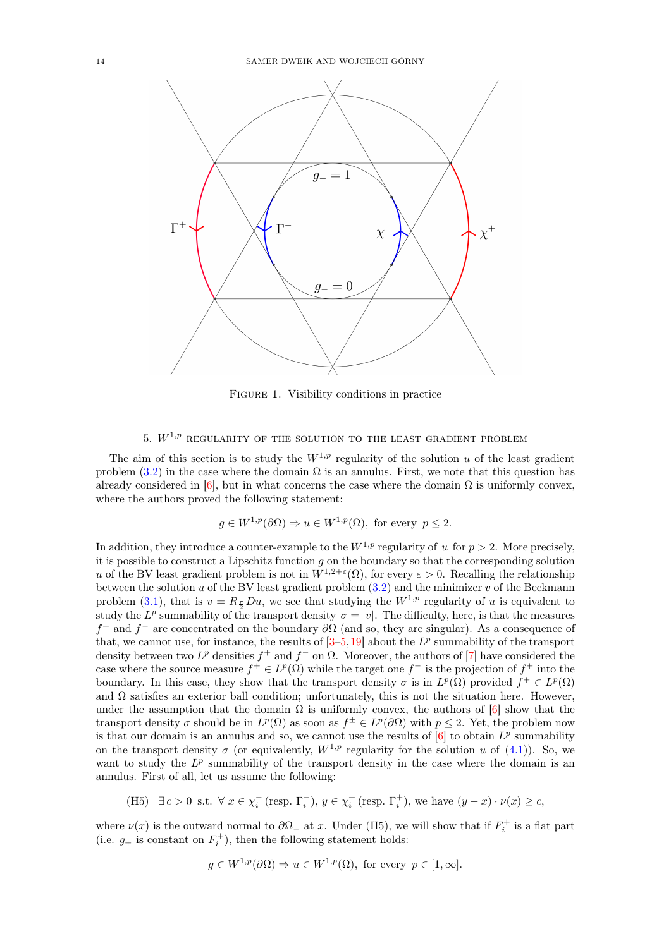<span id="page-13-1"></span>

Figure 1. Visibility conditions in practice

# 5.  $W^{1,p}$  regularity of the solution to the least gradient problem

<span id="page-13-0"></span>The aim of this section is to study the  $W^{1,p}$  regularity of the solution u of the least gradient problem  $(3.2)$  in the case where the domain  $\Omega$  is an annulus. First, we note that this question has already considered in [\[6\]](#page-17-0), but in what concerns the case where the domain  $\Omega$  is uniformly convex, where the authors proved the following statement:

$$
g \in W^{1,p}(\partial \Omega) \Rightarrow u \in W^{1,p}(\Omega)
$$
, for every  $p \leq 2$ .

In addition, they introduce a counter-example to the  $W^{1,p}$  regularity of u for  $p > 2$ . More precisely, it is possible to construct a Lipschitz function  $q$  on the boundary so that the corresponding solution u of the BV least gradient problem is not in  $W^{1,2+\epsilon}(\Omega)$ , for every  $\varepsilon > 0$ . Recalling the relationship between the solution u of the BV least gradient problem  $(3.2)$  and the minimizer v of the Beckmann problem [\(3.1\)](#page-5-2), that is  $v = R_{\frac{\pi}{2}}Du$ , we see that studying the  $W^{1,p}$  regularity of u is equivalent to study the  $L^p$  summability of the transport density  $\sigma = |v|$ . The difficulty, here, is that the measures  $f^+$  and  $f^-$  are concentrated on the boundary  $\partial\Omega$  (and so, they are singular). As a consequence of that, we cannot use, for instance, the results of  $[3-5, 19]$  $[3-5, 19]$  $[3-5, 19]$  $[3-5, 19]$  about the  $L^p$  summability of the transport density between two  $L^p$  densities  $f^+$  and  $f^-$  on  $\Omega$ . Moreover, the authors of [\[7\]](#page-17-13) have considered the case where the source measure  $f^+ \in L^p(\Omega)$  while the target one  $f^-$  is the projection of  $f^+$  into the boundary. In this case, they show that the transport density  $\sigma$  is in  $L^p(\Omega)$  provided  $f^+ \in L^p(\Omega)$ and  $\Omega$  satisfies an exterior ball condition; unfortunately, this is not the situation here. However, under the assumption that the domain  $\Omega$  is uniformly convex, the authors of [\[6\]](#page-17-0) show that the transport density  $\sigma$  should be in  $L^p(\Omega)$  as soon as  $f^{\pm} \in L^p(\partial \Omega)$  with  $p \leq 2$ . Yet, the problem now is that our domain is an annulus and so, we cannot use the results of  $[6]$  to obtain  $L^p$  summability on the transport density  $\sigma$  (or equivalently,  $W^{1,p}$  regularity for the solution u of [\(4.1\)](#page-9-2)). So, we want to study the  $L^p$  summability of the transport density in the case where the domain is an annulus. First of all, let us assume the following:

(H5) 
$$
\exists c > 0
$$
 s.t.  $\forall x \in \chi_i^-$  (resp.  $\Gamma_i^-$ ),  $y \in \chi_i^+$  (resp.  $\Gamma_i^+$ ), we have  $(y - x) \cdot \nu(x) \ge c$ ,

where  $\nu(x)$  is the outward normal to  $\partial\Omega$  at x. Under (H5), we will show that if  $F_i^+$  is a flat part (i.e.  $g_+$  is constant on  $F_i^+$ ), then the following statement holds:

$$
g \in W^{1,p}(\partial\Omega) \Rightarrow u \in W^{1,p}(\Omega)
$$
, for every  $p \in [1,\infty]$ .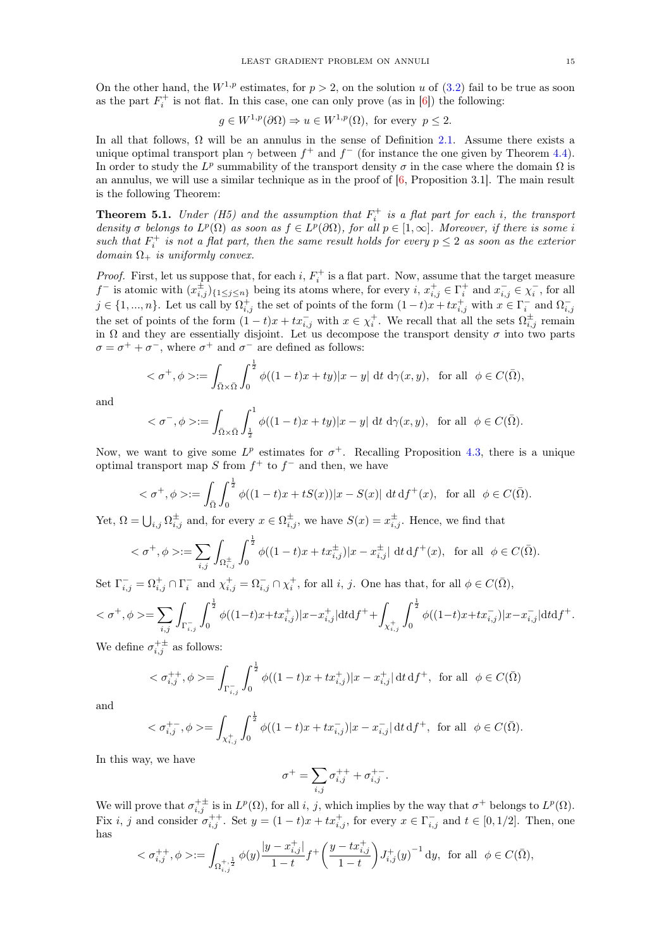On the other hand, the  $W^{1,p}$  estimates, for  $p > 2$ , on the solution u of  $(3.2)$  fail to be true as soon as the part  $F_i^+$  is not flat. In this case, one can only prove (as in [\[6\]](#page-17-0)) the following:

$$
g \in W^{1,p}(\partial \Omega) \Rightarrow u \in W^{1,p}(\Omega)
$$
, for every  $p \leq 2$ .

In all that follows,  $\Omega$  will be an annulus in the sense of Definition [2.1.](#page-2-1) Assume there exists a unique optimal transport plan  $\gamma$  between  $f^+$  and  $f^-$  (for instance the one given by Theorem [4.4\)](#page-11-1). In order to study the  $L^p$  summability of the transport density  $\sigma$  in the case where the domain  $\Omega$  is an annulus, we will use a similar technique as in the proof of [\[6,](#page-17-0) Proposition 3.1]. The main result is the following Theorem:

**Theorem 5.1.** Under (H5) and the assumption that  $F_i^+$  is a flat part for each i, the transport density  $\sigma$  belongs to  $L^p(\Omega)$  as soon as  $f \in L^p(\partial\Omega)$ , for all  $p \in [1,\infty]$ . Moreover, if there is some i such that  $F_i^+$  is not a flat part, then the same result holds for every  $p \leq 2$  as soon as the exterior  $domain \Omega_+$  is uniformly convex.

*Proof.* First, let us suppose that, for each i,  $F_i^+$  is a flat part. Now, assume that the target measure  $f^-$  is atomic with  $(x_{i,j}^{\pm})_{\{1 \leq j \leq n\}}$  being its atoms where, for every  $i, x_{i,j}^{\pm} \in \Gamma_i^+$  and  $x_{i,j}^- \in \chi_i^-$ , for all  $j \in \{1, ..., n\}$ . Let us call by  $\Omega_{i,j}^+$  the set of points of the form  $(1-t)x + tx_{i,j}^+$  with  $x \in \Gamma_i^-$  and  $\Omega_{i,j}^-$ <br>the set of points of the form  $(1-t)x + tx_{i,j}^-$  with  $x \in \chi_i^+$ . We recall that all the sets  $\Omega_{i,j}^+$  remain in  $\Omega$  and they are essentially disjoint. Let us decompose the transport density  $\sigma$  into two parts  $\sigma = \sigma^+ + \sigma^-$ , where  $\sigma^+$  and  $\sigma^-$  are defined as follows:

$$
<\sigma^+, \phi> := \int_{\bar{\Omega}\times\bar{\Omega}} \int_0^{\frac{1}{2}} \phi((1-t)x + ty)|x - y| dt d\gamma(x, y),
$$
 for all  $\phi \in C(\bar{\Omega}),$ 

and

$$
\langle \sigma^-, \phi \rangle := \int_{\bar{\Omega} \times \bar{\Omega}} \int_{\frac{1}{2}}^1 \phi((1-t)x + ty)|x - y| \, dt \, d\gamma(x, y), \text{ for all } \phi \in C(\bar{\Omega}).
$$

Now, we want to give some  $L^p$  estimates for  $\sigma^+$ . Recalling Proposition [4.3,](#page-11-0) there is a unique optimal transport map S from  $f^+$  to  $f^-$  and then, we have

$$
<\sigma^+, \phi> := \int_{\bar{\Omega}} \int_0^{\frac{1}{2}} \phi((1-t)x + tS(x))|x - S(x)| \, dt \, df^+(x)
$$
, for all  $\phi \in C(\bar{\Omega})$ .

Yet,  $\Omega = \bigcup_{i,j} \Omega_{i,j}^{\pm}$  and, for every  $x \in \Omega_{i,j}^{\pm}$ , we have  $S(x) = x_{i,j}^{\pm}$ . Hence, we find that

$$
<\sigma^+, \phi> := \sum_{i,j} \int_{\Omega_{i,j}^{\pm}} \int_0^{\frac{1}{2}} \phi((1-t)x + tx_{i,j}^{\pm}) |x - x_{i,j}^{\pm}| dt df^+(x)
$$
, for all  $\phi \in C(\bar{\Omega})$ .

Set  $\Gamma_{i,j}^- = \Omega_{i,j}^+ \cap \Gamma_i^-$  and  $\chi_{i,j}^+ = \Omega_{i,j}^- \cap \chi_i^+$ , for all  $i, j$ . One has that, for all  $\phi \in C(\overline{\Omega})$ ,

$$
\langle \sigma^+, \phi \rangle = \sum_{i,j} \int_{\Gamma_{i,j}^-} \int_0^{\frac{1}{2}} \phi((1-t)x + tx_{i,j}^+) |x - x_{i,j}^+| \mathrm{d}t \mathrm{d}t^+ + \int_{\chi_{i,j}^+} \int_0^{\frac{1}{2}} \phi((1-t)x + tx_{i,j}^-) |x - x_{i,j}^-| \mathrm{d}t \mathrm{d}t^+.
$$

We define  $\sigma_{i,j}^{+\pm}$  as follows:

$$
<\sigma_{i,j}^{++}, \phi> = \int_{\Gamma_{i,j}^{-}} \int_0^{\frac{1}{2}} \phi((1-t)x + tx_{i,j}^{+})|x - x_{i,j}^{+}| \, \mathrm{d}t \, \mathrm{d}t^{+}, \text{ for all } \phi \in C(\bar{\Omega})
$$

and

$$
<\sigma^{+-}_{i,j}, \phi>=\int_{\chi^+_{i,j}}\int_0^{\frac{1}{2}}\phi((1-t)x+tx^-_{i,j})|x-x^-_{i,j}|\,\mathrm{d} t\,\mathrm{d} f^+, \ \text{ for all }\ \phi\in C(\bar\Omega).
$$

In this way, we have

$$
\sigma^+=\sum_{i,j}\sigma^{++}_{i,j}+\sigma^{+-}_{i,j}.
$$

We will prove that  $\sigma_{i,j}^{+\pm}$  is in  $L^p(\Omega)$ , for all i, j, which implies by the way that  $\sigma^+$  belongs to  $L^p(\Omega)$ . Fix *i*, *j* and consider  $\sigma_{i,j}^{++}$ . Set  $y = (1-t)x + tx_{i,j}^+$ , for every  $x \in \Gamma_{i,j}^-$  and  $t \in [0,1/2]$ . Then, one has

$$
<\sigma _{i,j}^{++},\phi>:=\int_{\Omega _{i,j}^{+,\frac{1}{2}}}\phi (y)\frac{|y-x_{i,j}^{+}|}{1-t}f^{+}\bigg(\frac{y-tx_{i,j}^{+}}{1-t}\bigg)J_{i,j}^{+}(y)^{-1}\, \mathrm{d}y,\;\;\text{for all}\;\; \phi \in C(\bar{\Omega }),
$$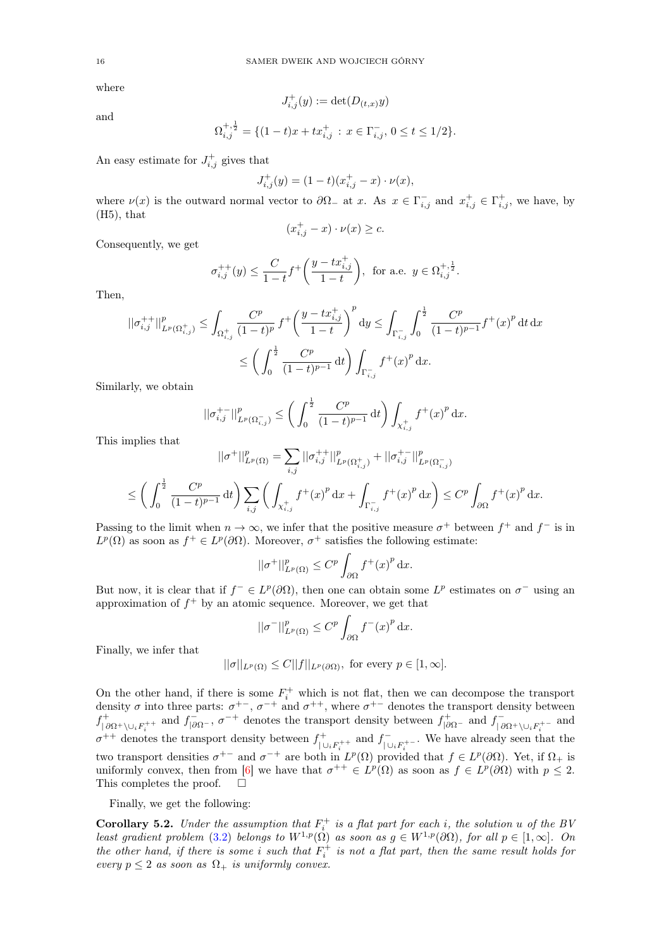where

$$
J^+_{i,j}(y):=\det(D_{(t,x)}y)
$$

and

$$
\Omega_{i,j}^{+, \frac{1}{2}} = \{ (1-t)x + tx_{i,j}^{+} : x \in \Gamma_{i,j}^{-}, 0 \le t \le 1/2 \}.
$$

An easy estimate for  $J_{i,j}^{+}$  gives that

$$
J_{i,j}^+(y) = (1-t)(x_{i,j}^+ - x) \cdot \nu(x),
$$

where  $\nu(x)$  is the outward normal vector to  $\partial\Omega_{-}$  at x. As  $x \in \Gamma_{i,j}^{-}$  and  $x_{i,j}^{+} \in \Gamma_{i,j}^{+}$ , we have, by  $(H5)$ , that

$$
(x_{i,j}^+ - x) \cdot \nu(x) \ge c.
$$

Consequently, we get

$$
\sigma_{i,j}^{++}(y) \le \frac{C}{1-t} f^+ \bigg( \frac{y - tx_{i,j}^+}{1-t} \bigg), \text{ for a.e. } y \in \Omega_{i,j}^{+, \frac{1}{2}}.
$$

Then,

$$
\begin{aligned} ||\sigma^{++}_{i,j}||^p_{L^p(\Omega^+_{i,j})} &\leq \int_{\Omega^+_{i,j}} \frac{C^p}{(1-t)^p} f^+\bigg(\frac{y-tx^+_{i,j}}{1-t}\bigg)^p \, \mathrm{d}y \leq \int_{\Gamma^-_{i,j}} \int_0^{\frac{1}{2}} \frac{C^p}{(1-t)^{p-1}} f^+(x)^p \, \mathrm{d}t \, \mathrm{d}x \\ &\leq \left(\int_0^{\frac{1}{2}} \frac{C^p}{(1-t)^{p-1}} \, \mathrm{d}t\right) \int_{\Gamma^-_{i,j}} f^+(x)^p \, \mathrm{d}x. \end{aligned}
$$

Similarly, we obtain

$$
||\sigma_{i,j}^{+-}||_{L^p(\Omega_{i,j}^-)}^p \le \left(\int_0^{\frac{1}{2}} \frac{C^p}{(1-t)^{p-1}} dt\right) \int_{\chi_{i,j}^+} f^+(x)^p dx.
$$

This implies that

$$
||\sigma^+||^p_{L^p(\Omega)} = \sum_{i,j} ||\sigma^{++}_{i,j}||^p_{L^p(\Omega^+_{i,j})} + ||\sigma^{+-}_{i,j}||^p_{L^p(\Omega^-_{i,j})}
$$
  

$$
\leq \left(\int_0^{\frac{1}{2}} \frac{C^p}{(1-t)^{p-1}} dt\right) \sum_{i,j} \left(\int_{X^+_{i,j}} f^+(x)^p dx + \int_{\Gamma^-_{i,j}} f^+(x)^p dx\right) \leq C^p \int_{\partial\Omega} f^+(x)^p dx.
$$

Passing to the limit when  $n \to \infty$ , we infer that the positive measure  $\sigma^+$  between  $f^+$  and  $f^-$  is in  $L^p(\Omega)$  as soon as  $f^+ \in L^p(\partial\Omega)$ . Moreover,  $\sigma^+$  satisfies the following estimate:

$$
||\sigma^+||^p_{L^p(\Omega)} \leq C^p \int_{\partial\Omega} f^+(x)^p dx.
$$

But now, it is clear that if  $f^- \in L^p(\partial\Omega)$ , then one can obtain some  $L^p$  estimates on  $\sigma^-$  using an approximation of  $f^+$  by an atomic sequence. Moreover, we get that

$$
||\sigma^-||^p_{L^p(\Omega)} \leq C^p \int_{\partial\Omega} f^-(x)^p dx.
$$

Finally, we infer that

$$
||\sigma||_{L^p(\Omega)} \leq C||f||_{L^p(\partial\Omega)}, \text{ for every } p \in [1, \infty].
$$

On the other hand, if there is some  $F_i^+$  which is not flat, then we can decompose the transport density  $\sigma$  into three parts:  $\sigma^{+-}$ ,  $\sigma^{-+}$  and  $\sigma^{++}$ , where  $\sigma^{+-}$  denotes the transport density between  $f_{\perp s}^+$ <sup>++</sup> and  $f^-_{|\partial\Omega}$ , σ<sup>-+</sup> denotes the transport density between  $f^+_{|\partial\Omega}$  and  $f^-_{|\partial\Omega}$  $\sum_{i=1}^{n}$  and  $\log P_i$ <sup>+</sup> and  $\sigma^{++}$  denotes the transport density between  $f^+$  $j_{\cup_i F_i^{++}}$  and  $f_{\cup_i}^ \sum_{\vert \cup_i F_i^+}$ . We have already seen that the two transport densities  $\sigma^{+-}$  and  $\sigma^{-+}$  are both in  $L^p(\Omega)$  provided that  $f \in L^p(\partial\Omega)$ . Yet, if  $\Omega_+$  is uniformly convex, then from [\[6\]](#page-17-0) we have that  $\sigma^{++} \in L^p(\Omega)$  as soon as  $f \in L^p(\partial\Omega)$  with  $p \leq 2$ . This completes the proof.  $\square$ 

Finally, we get the following:

**Corollary 5.2.** Under the assumption that  $F_i^+$  is a flat part for each i, the solution u of the BV least gradient problem [\(3.2\)](#page-5-3) belongs to  $W^{1,p}(\Omega)$  as soon as  $g \in W^{1,p}(\partial\Omega)$ , for all  $p \in [1,\infty]$ . On the other hand, if there is some i such that  $F_i^+$  is not a flat part, then the same result holds for every  $p \leq 2$  as soon as  $\Omega_{+}$  is uniformly convex.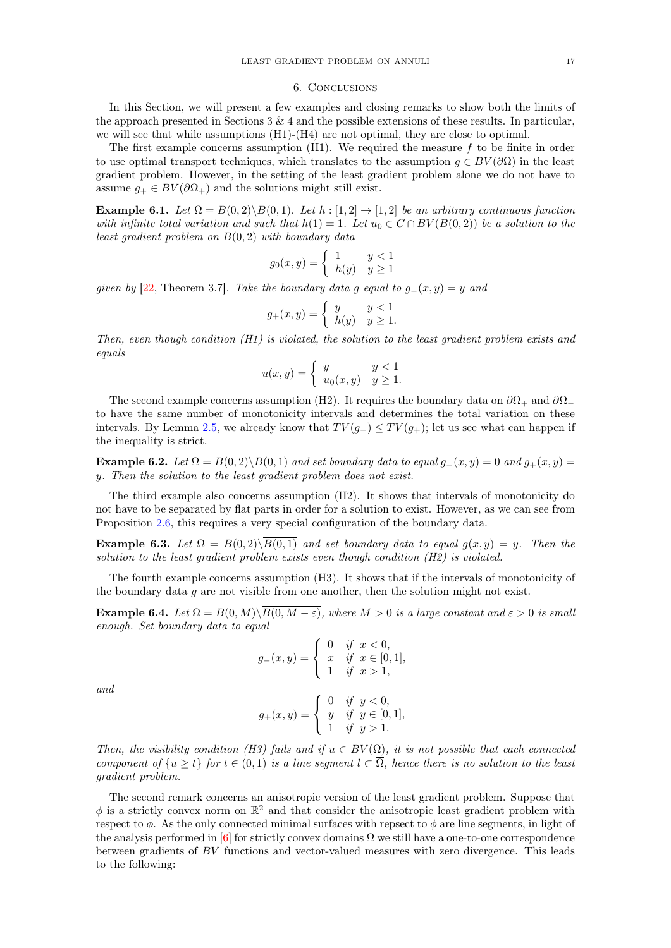#### 6. Conclusions

<span id="page-16-0"></span>In this Section, we will present a few examples and closing remarks to show both the limits of the approach presented in Sections 3 & 4 and the possible extensions of these results. In particular, we will see that while assumptions (H1)-(H4) are not optimal, they are close to optimal.

The first example concerns assumption  $(H1)$ . We required the measure f to be finite in order to use optimal transport techniques, which translates to the assumption  $g \in BV(\partial\Omega)$  in the least gradient problem. However, in the setting of the least gradient problem alone we do not have to assume  $g_+ \in BV(\partial \Omega_+)$  and the solutions might still exist.

Example 6.1. Let  $\Omega = B(0, 2)\setminus \overline{B(0, 1)}$ . Let  $h : [1, 2] \rightarrow [1, 2]$  be an arbitrary continuous function with infinite total variation and such that  $h(1) = 1$ . Let  $u_0 \in C \cap BV(B(0, 2))$  be a solution to the least gradient problem on  $B(0, 2)$  with boundary data

$$
g_0(x, y) = \begin{cases} 1 & y < 1 \\ h(y) & y \ge 1 \end{cases}
$$

given by [\[22,](#page-18-0) Theorem 3.7]. Take the boundary data g equal to  $g_-(x, y) = y$  and

$$
g_+(x,y) = \begin{cases} y & y < 1 \\ h(y) & y \ge 1. \end{cases}
$$

Then, even though condition  $(H1)$  is violated, the solution to the least gradient problem exists and equals

$$
u(x,y) = \begin{cases} y & y < 1 \\ u_0(x,y) & y \ge 1. \end{cases}
$$

The second example concerns assumption (H2). It requires the boundary data on  $\partial\Omega_+$  and  $\partial\Omega_$ to have the same number of monotonicity intervals and determines the total variation on these intervals. By Lemma [2.5,](#page-3-0) we already know that  $TV(g_{-}) \leq TV(g_{+})$ ; let us see what can happen if the inequality is strict.

**Example 6.2.** Let  $\Omega = B(0, 2)\setminus\overline{B(0, 1)}$  and set boundary data to equal  $g_-(x, y) = 0$  and  $g_+(x, y) = 0$ y. Then the solution to the least gradient problem does not exist.

The third example also concerns assumption (H2). It shows that intervals of monotonicity do not have to be separated by flat parts in order for a solution to exist. However, as we can see from Proposition [2.6,](#page-4-0) this requires a very special configuration of the boundary data.

**Example 6.3.** Let  $\Omega = B(0, 2)\setminus\overline{B(0, 1)}$  and set boundary data to equal  $g(x, y) = y$ . Then the solution to the least gradient problem exists even though condition (H2) is violated.

The fourth example concerns assumption (H3). It shows that if the intervals of monotonicity of the boundary data  $g$  are not visible from one another, then the solution might not exist.

**Example 6.4.** Let  $\Omega = B(0, M) \setminus \overline{B(0, M - \varepsilon)}$ , where  $M > 0$  is a large constant and  $\varepsilon > 0$  is small enough. Set boundary data to equal

$$
g_{-}(x,y) = \begin{cases} 0 & \text{if } x < 0, \\ x & \text{if } x \in [0,1], \\ 1 & \text{if } x > 1, \end{cases}
$$

and

$$
g_{+}(x,y) = \begin{cases} 0 & \text{if } y < 0, \\ y & \text{if } y \in [0,1], \\ 1 & \text{if } y > 1. \end{cases}
$$

Then, the visibility condition (H3) fails and if  $u \in BV(\Omega)$ , it is not possible that each connected component of  $\{u \geq t\}$  for  $t \in (0,1)$  is a line seqment  $l \subset \overline{\Omega}$ , hence there is no solution to the least gradient problem.

The second remark concerns an anisotropic version of the least gradient problem. Suppose that  $\phi$  is a strictly convex norm on  $\mathbb{R}^2$  and that consider the anisotropic least gradient problem with respect to  $\phi$ . As the only connected minimal surfaces with repsect to  $\phi$  are line segments, in light of the analysis performed in [\[6\]](#page-17-0) for strictly convex domains  $\Omega$  we still have a one-to-one correspondence between gradients of BV functions and vector-valued measures with zero divergence. This leads to the following: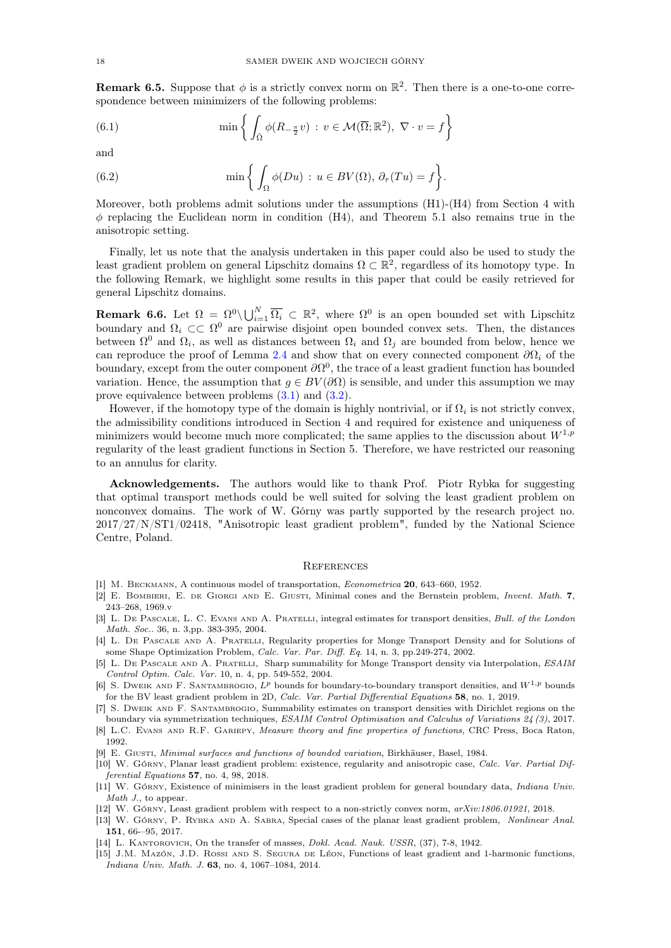**Remark 6.5.** Suppose that  $\phi$  is a strictly convex norm on  $\mathbb{R}^2$ . Then there is a one-to-one correspondence between minimizers of the following problems:

(6.1) 
$$
\min \left\{ \int_{\overline{\Omega}} \phi(R_{-\frac{\pi}{2}}v) : v \in \mathcal{M}(\overline{\Omega}; \mathbb{R}^2), \ \nabla \cdot v = f \right\}
$$

and

(6.2) 
$$
\min \left\{ \int_{\Omega} \phi(Du) : u \in BV(\Omega), \ \partial_{\tau}(Tu) = f \right\}.
$$

Moreover, both problems admit solutions under the assumptions (H1)-(H4) from Section 4 with  $\phi$  replacing the Euclidean norm in condition (H4), and Theorem 5.1 also remains true in the anisotropic setting.

Finally, let us note that the analysis undertaken in this paper could also be used to study the least gradient problem on general Lipschitz domains  $\Omega \subset \mathbb{R}^2$ , regardless of its homotopy type. In the following Remark, we highlight some results in this paper that could be easily retrieved for general Lipschitz domains.

**Remark 6.6.** Let  $\Omega = \Omega^0 \setminus \bigcup_{i=1}^N \overline{\Omega_i} \subset \mathbb{R}^2$ , where  $\Omega^0$  is an open bounded set with Lipschitz boundary and  $\Omega_i \subset\subset \Omega^0$  are pairwise disjoint open bounded convex sets. Then, the distances between  $\Omega^0$  and  $\Omega_i$ , as well as distances between  $\Omega_i$  and  $\Omega_j$  are bounded from below, hence we can reproduce the proof of Lemma [2.4](#page-3-1) and show that on every connected component  $\partial\Omega_i$  of the boundary, except from the outer component  $\partial \Omega^0$ , the trace of a least gradient function has bounded variation. Hence, the assumption that  $q \in BV(\partial\Omega)$  is sensible, and under this assumption we may prove equivalence between problems [\(3.1\)](#page-5-2) and [\(3.2\)](#page-5-3).

However, if the homotopy type of the domain is highly nontrivial, or if  $\Omega_i$  is not strictly convex, the admissibility conditions introduced in Section 4 and required for existence and uniqueness of minimizers would become much more complicated; the same applies to the discussion about  $W^{1,p}$ regularity of the least gradient functions in Section 5. Therefore, we have restricted our reasoning to an annulus for clarity.

Acknowledgements. The authors would like to thank Prof. Piotr Rybka for suggesting that optimal transport methods could be well suited for solving the least gradient problem on nonconvex domains. The work of W. Górny was partly supported by the research project no. 2017/27/N/ST1/02418, "Anisotropic least gradient problem", funded by the National Science Centre, Poland.

### **REFERENCES**

- <span id="page-17-4"></span>[1] M. BECKMANN, A continuous model of transportation, *Econometrica* 20, 643-660, 1952.
- <span id="page-17-7"></span>[2] E. Bombieri, E. de Giorgi and E. Giusti, Minimal cones and the Bernstein problem, Invent. Math. 7, 243–268, 1969.v
- <span id="page-17-11"></span>[3] L. DE PASCALE, L. C. EVANS AND A. PRATELLI, integral estimates for transport densities, Bull. of the London Math. Soc.. 36, n. 3,pp. 383-395, 2004.
- [4] L. De Pascale and A. Pratelli, Regularity properties for Monge Transport Density and for Solutions of some Shape Optimization Problem, Calc. Var. Par. Diff. Eq. 14, n. 3, pp.249-274, 2002.
- <span id="page-17-12"></span>[5] L. De Pascale and A. Pratelli, Sharp summability for Monge Transport density via Interpolation, ESAIM Control Optim. Calc. Var. 10, n. 4, pp. 549-552, 2004.
- <span id="page-17-0"></span>[6] S. DWEIK AND F. SANTAMBROGIO,  $L^p$  bounds for boundary-to-boundary transport densities, and  $W^{1,p}$  bounds for the BV least gradient problem in 2D, Calc. Var. Partial Differential Equations 58, no. 1, 2019.
- <span id="page-17-13"></span>[7] S. DWEIK AND F. SANTAMBROGIO, Summability estimates on transport densities with Dirichlet regions on the boundary via symmetrization techniques, ESAIM Control Optimisation and Calculus of Variations 24 (3), 2017.
- <span id="page-17-10"></span>[8] L.C. EVANS AND R.F. GARIEPY, Measure theory and fine properties of functions, CRC Press, Boca Raton, 1992.
- <span id="page-17-8"></span>[9] E. Giusti, Minimal surfaces and functions of bounded variation, Birkhäuser, Basel, 1984.
- <span id="page-17-1"></span>[10] W. Górny, Planar least gradient problem: existence, regularity and anisotropic case, Calc. Var. Partial Differential Equations 57, no. 4, 98, 2018.
- <span id="page-17-9"></span>[11] W. Górny, Existence of minimisers in the least gradient problem for general boundary data, *Indiana Univ.* Math J., to appear.
- <span id="page-17-6"></span>[12] W. Górny, Least gradient problem with respect to a non-strictly convex norm,  $arXiv:1806.01921$ , 2018.
- <span id="page-17-2"></span>[13] W. Górny, P. Rybka and A. Sabra, Special cases of the planar least gradient problem, Nonlinear Anal. 151, 66-–95, 2017.
- <span id="page-17-5"></span>[14] L. KANTOROVICH, On the transfer of masses, *Dokl. Acad. Nauk. USSR*, (37), 7-8, 1942.
- <span id="page-17-3"></span>[15] J.M. Mazón, J.D. Rossi and S. Segura de Léon, Functions of least gradient and 1-harmonic functions, Indiana Univ. Math. J. 63, no. 4, 1067–1084, 2014.